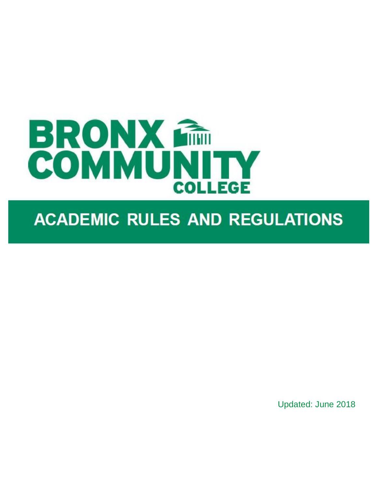

# **ACADEMIC RULES AND REGULATIONS**

Updated: June 2018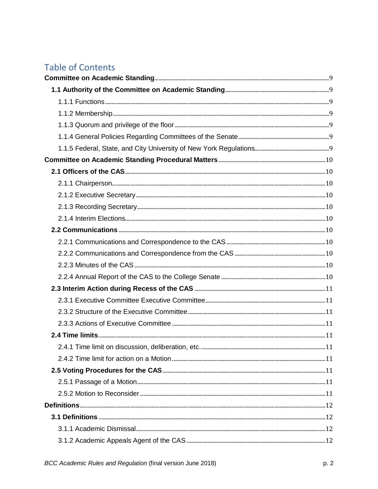# **Table of Contents**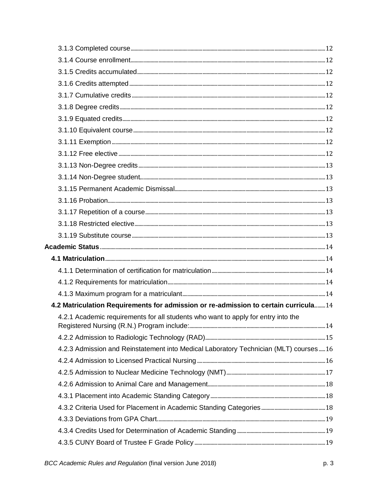| 4.2 Matriculation Requirements for admission or re-admission to certain curricula 14 |  |
|--------------------------------------------------------------------------------------|--|
| 4.2.1 Academic requirements for all students who want to apply for entry into the    |  |
|                                                                                      |  |
| 4.2.3 Admission and Reinstatement into Medical Laboratory Technician (MLT) courses16 |  |
|                                                                                      |  |
|                                                                                      |  |
|                                                                                      |  |
|                                                                                      |  |
|                                                                                      |  |
|                                                                                      |  |
|                                                                                      |  |
|                                                                                      |  |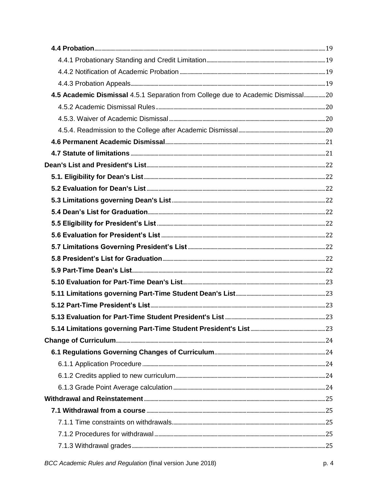| 4.5 Academic Dismissal 4.5.1 Separation from College due to Academic Dismissal20 |  |
|----------------------------------------------------------------------------------|--|
|                                                                                  |  |
|                                                                                  |  |
|                                                                                  |  |
|                                                                                  |  |
|                                                                                  |  |
|                                                                                  |  |
|                                                                                  |  |
|                                                                                  |  |
|                                                                                  |  |
|                                                                                  |  |
|                                                                                  |  |
|                                                                                  |  |
|                                                                                  |  |
|                                                                                  |  |
|                                                                                  |  |
|                                                                                  |  |
|                                                                                  |  |
|                                                                                  |  |
|                                                                                  |  |
|                                                                                  |  |
|                                                                                  |  |
|                                                                                  |  |
|                                                                                  |  |
|                                                                                  |  |
|                                                                                  |  |
|                                                                                  |  |
|                                                                                  |  |
|                                                                                  |  |
|                                                                                  |  |
|                                                                                  |  |
|                                                                                  |  |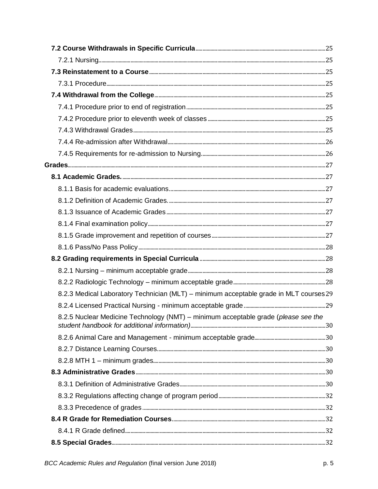| 8.2.3 Medical Laboratory Technician (MLT) - minimum acceptable grade in MLT courses 29 |  |
|----------------------------------------------------------------------------------------|--|
|                                                                                        |  |
| 8.2.5 Nuclear Medicine Technology (NMT) – minimum acceptable grade (please see the     |  |
|                                                                                        |  |
|                                                                                        |  |
|                                                                                        |  |
|                                                                                        |  |
|                                                                                        |  |
|                                                                                        |  |
|                                                                                        |  |
|                                                                                        |  |
|                                                                                        |  |
|                                                                                        |  |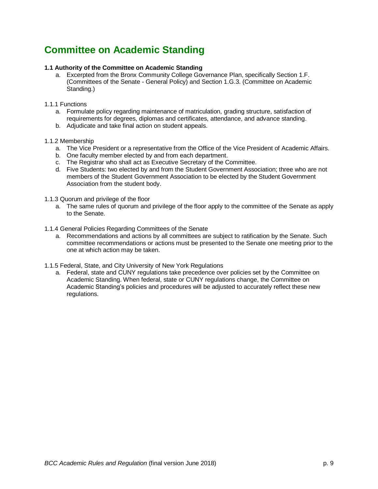# <span id="page-8-0"></span>**Committee on Academic Standing**

# <span id="page-8-1"></span>**1.1 Authority of the Committee on Academic Standing**

a. Excerpted from the Bronx Community College Governance Plan, specifically Section 1.F. (Committees of the Senate - General Policy) and Section 1.G.3. (Committee on Academic Standing.)

### <span id="page-8-2"></span>1.1.1 Functions

- a. Formulate policy regarding maintenance of matriculation, grading structure, satisfaction of requirements for degrees, diplomas and certificates, attendance, and advance standing.
- b. Adjudicate and take final action on student appeals.

#### <span id="page-8-3"></span>1.1.2 Membership

- a. The Vice President or a representative from the Office of the Vice President of Academic Affairs.
- b. One faculty member elected by and from each department.
- c. The Registrar who shall act as Executive Secretary of the Committee.
- d. Five Students: two elected by and from the Student Government Association; three who are not members of the Student Government Association to be elected by the Student Government Association from the student body.
- <span id="page-8-4"></span>1.1.3 Quorum and privilege of the floor
	- a. The same rules of quorum and privilege of the floor apply to the committee of the Senate as apply to the Senate.
- <span id="page-8-5"></span>1.1.4 General Policies Regarding Committees of the Senate
	- a. Recommendations and actions by all committees are subject to ratification by the Senate. Such committee recommendations or actions must be presented to the Senate one meeting prior to the one at which action may be taken.
- <span id="page-8-6"></span>1.1.5 Federal, State, and City University of New York Regulations
	- a. Federal, state and CUNY regulations take precedence over policies set by the Committee on Academic Standing. When federal, state or CUNY regulations change, the Committee on Academic Standing's policies and procedures will be adjusted to accurately reflect these new regulations.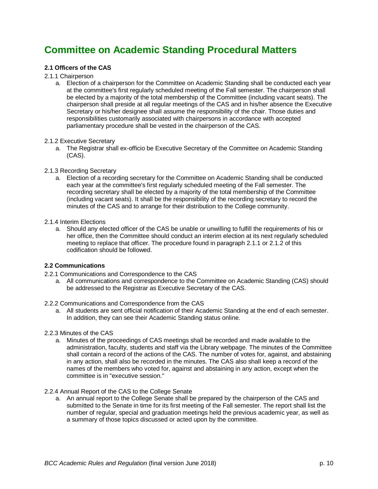# <span id="page-9-0"></span>**Committee on Academic Standing Procedural Matters**

# <span id="page-9-1"></span>**2.1 Officers of the CAS**

# <span id="page-9-2"></span>2.1.1 Chairperson

a. Election of a chairperson for the Committee on Academic Standing shall be conducted each year at the committee's first regularly scheduled meeting of the Fall semester. The chairperson shall be elected by a majority of the total membership of the Committee (including vacant seats). The chairperson shall preside at all regular meetings of the CAS and in his/her absence the Executive Secretary or his/her designee shall assume the responsibility of the chair. Those duties and responsibilities customarily associated with chairpersons in accordance with accepted parliamentary procedure shall be vested in the chairperson of the CAS.

### <span id="page-9-3"></span>2.1.2 Executive Secretary

a. The Registrar shall ex-officio be Executive Secretary of the Committee on Academic Standing (CAS).

# <span id="page-9-4"></span>2.1.3 Recording Secretary

a. Election of a recording secretary for the Committee on Academic Standing shall be conducted each year at the committee's first regularly scheduled meeting of the Fall semester. The recording secretary shall be elected by a majority of the total membership of the Committee (including vacant seats). It shall be the responsibility of the recording secretary to record the minutes of the CAS and to arrange for their distribution to the College community.

# <span id="page-9-5"></span>2.1.4 Interim Elections

a. Should any elected officer of the CAS be unable or unwilling to fulfill the requirements of his or her office, then the Committee should conduct an interim election at its next regularly scheduled meeting to replace that officer. The procedure found in paragraph 2.1.1 or 2.1.2 of this codification should be followed.

# <span id="page-9-6"></span>**2.2 Communications**

- <span id="page-9-7"></span>2.2.1 Communications and Correspondence to the CAS
	- a. All communications and correspondence to the Committee on Academic Standing (CAS) should be addressed to the Registrar as Executive Secretary of the CAS.
- <span id="page-9-8"></span>2.2.2 Communications and Correspondence from the CAS
	- a. All students are sent official notification of their Academic Standing at the end of each semester. In addition, they can see their Academic Standing status online.

# <span id="page-9-9"></span>2.2.3 Minutes of the CAS

a. Minutes of the proceedings of CAS meetings shall be recorded and made available to the administration, faculty, students and staff via the Library webpage. The minutes of the Committee shall contain a record of the actions of the CAS. The number of votes for, against, and abstaining in any action, shall also be recorded in the minutes. The CAS also shall keep a record of the names of the members who voted for, against and abstaining in any action, except when the committee is in "executive session."

### <span id="page-9-10"></span>2.2.4 Annual Report of the CAS to the College Senate

a. An annual report to the College Senate shall be prepared by the chairperson of the CAS and submitted to the Senate in time for its first meeting of the Fall semester. The report shall list the number of regular, special and graduation meetings held the previous academic year, as well as a summary of those topics discussed or acted upon by the committee.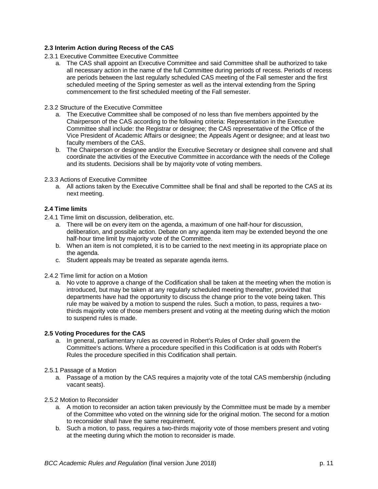# <span id="page-10-0"></span>**2.3 Interim Action during Recess of the CAS**

- <span id="page-10-1"></span>2.3.1 Executive Committee Executive Committee
	- a. The CAS shall appoint an Executive Committee and said Committee shall be authorized to take all necessary action in the name of the full Committee during periods of recess. Periods of recess are periods between the last regularly scheduled CAS meeting of the Fall semester and the first scheduled meeting of the Spring semester as well as the interval extending from the Spring commencement to the first scheduled meeting of the Fall semester.

# <span id="page-10-2"></span>2.3.2 Structure of the Executive Committee

- a. The Executive Committee shall be composed of no less than five members appointed by the Chairperson of the CAS according to the following criteria: Representation in the Executive Committee shall include: the Registrar or designee; the CAS representative of the Office of the Vice President of Academic Affairs or designee; the Appeals Agent or designee; and at least two faculty members of the CAS.
- b. The Chairperson or designee and/or the Executive Secretary or designee shall convene and shall coordinate the activities of the Executive Committee in accordance with the needs of the College and its students. Decisions shall be by majority vote of voting members.

# <span id="page-10-3"></span>2.3.3 Actions of Executive Committee

a. All actions taken by the Executive Committee shall be final and shall be reported to the CAS at its next meeting.

# <span id="page-10-4"></span>**2.4 Time limits**

- <span id="page-10-5"></span>2.4.1 Time limit on discussion, deliberation, etc.
	- a. There will be on every item on the agenda, a maximum of one half-hour for discussion, deliberation, and possible action. Debate on any agenda item may be extended beyond the one half-hour time limit by majority vote of the Committee.
	- b. When an item is not completed, it is to be carried to the next meeting in its appropriate place on the agenda.
	- c. Student appeals may be treated as separate agenda items.
- <span id="page-10-6"></span>2.4.2 Time limit for action on a Motion
	- a. No vote to approve a change of the Codification shall be taken at the meeting when the motion is introduced, but may be taken at any regularly scheduled meeting thereafter, provided that departments have had the opportunity to discuss the change prior to the vote being taken. This rule may be waived by a motion to suspend the rules. Such a motion, to pass, requires a twothirds majority vote of those members present and voting at the meeting during which the motion to suspend rules is made.

### <span id="page-10-7"></span>**2.5 Voting Procedures for the CAS**

- a. In general, parliamentary rules as covered in Robert's Rules of Order shall govern the Committee's actions. Where a procedure specified in this Codification is at odds with Robert's Rules the procedure specified in this Codification shall pertain.
- <span id="page-10-8"></span>2.5.1 Passage of a Motion
	- a. Passage of a motion by the CAS requires a majority vote of the total CAS membership (including vacant seats).
- <span id="page-10-9"></span>2.5.2 Motion to Reconsider
	- a. A motion to reconsider an action taken previously by the Committee must be made by a member of the Committee who voted on the winning side for the original motion. The second for a motion to reconsider shall have the same requirement.
	- b. Such a motion, to pass, requires a two-thirds majority vote of those members present and voting at the meeting during which the motion to reconsider is made.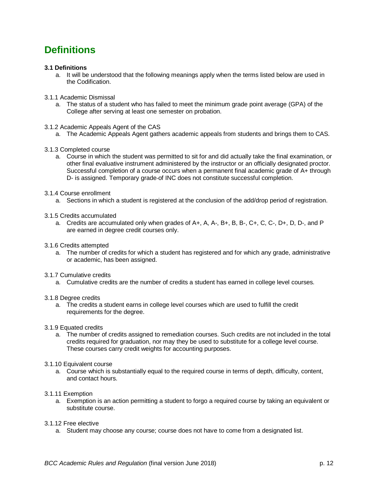# <span id="page-11-0"></span>**Definitions**

# <span id="page-11-1"></span>**3.1 Definitions**

- a. It will be understood that the following meanings apply when the terms listed below are used in the Codification.
- <span id="page-11-2"></span>3.1.1 Academic Dismissal
	- a. The status of a student who has failed to meet the minimum grade point average (GPA) of the College after serving at least one semester on probation.
- <span id="page-11-3"></span>3.1.2 Academic Appeals Agent of the CAS
	- a. The Academic Appeals Agent gathers academic appeals from students and brings them to CAS.
- <span id="page-11-4"></span>3.1.3 Completed course
	- a. Course in which the student was permitted to sit for and did actually take the final examination, or other final evaluative instrument administered by the instructor or an officially designated proctor. Successful completion of a course occurs when a permanent final academic grade of A+ through D- is assigned. Temporary grade of INC does not constitute successful completion.
- <span id="page-11-5"></span>3.1.4 Course enrollment
	- a. Sections in which a student is registered at the conclusion of the add/drop period of registration.
- <span id="page-11-6"></span>3.1.5 Credits accumulated
	- a. Credits are accumulated only when grades of A+, A, A-, B+, B, B-, C+, C, C-, D+, D, D-, and P are earned in degree credit courses only.
- <span id="page-11-7"></span>3.1.6 Credits attempted
	- a. The number of credits for which a student has registered and for which any grade, administrative or academic, has been assigned.
- <span id="page-11-8"></span>3.1.7 Cumulative credits
	- a. Cumulative credits are the number of credits a student has earned in college level courses.
- <span id="page-11-9"></span>3.1.8 Degree credits
	- a. The credits a student earns in college level courses which are used to fulfill the credit requirements for the degree.
- <span id="page-11-10"></span>3.1.9 Equated credits
	- a. The number of credits assigned to remediation courses. Such credits are not included in the total credits required for graduation, nor may they be used to substitute for a college level course. These courses carry credit weights for accounting purposes.
- <span id="page-11-11"></span>3.1.10 Equivalent course
	- a. Course which is substantially equal to the required course in terms of depth, difficulty, content, and contact hours.
- <span id="page-11-12"></span>3.1.11 Exemption
	- a. Exemption is an action permitting a student to forgo a required course by taking an equivalent or substitute course.
- <span id="page-11-13"></span>3.1.12 Free elective
	- a. Student may choose any course; course does not have to come from a designated list.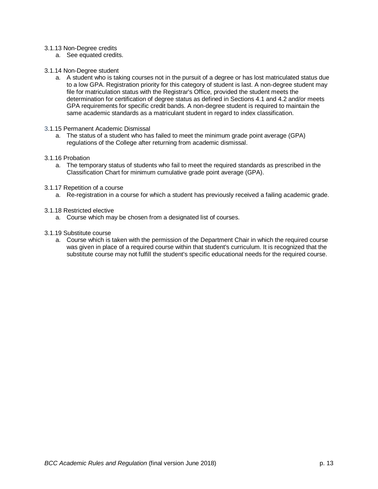#### <span id="page-12-0"></span>3.1.13 Non-Degree credits

- a. See equated credits.
- <span id="page-12-1"></span>3.1.14 Non-Degree student
	- a. A student who is taking courses not in the pursuit of a degree or has lost matriculated status due to a low GPA. Registration priority for this category of student is last. A non-degree student may file for matriculation status with the Registrar's Office, provided the student meets the determination for certification of degree status as defined in Sections 4.1 and 4.2 and/or meets GPA requirements for specific credit bands. A non-degree student is required to maintain the same academic standards as a matriculant student in regard to index classification.
- <span id="page-12-2"></span>3.1.15 Permanent Academic Dismissal
	- a. The status of a student who has failed to meet the minimum grade point average (GPA) regulations of the College after returning from academic dismissal.

#### <span id="page-12-3"></span>3.1.16 Probation

a. The temporary status of students who fail to meet the required standards as prescribed in the Classification Chart for minimum cumulative grade point average (GPA).

#### <span id="page-12-4"></span>3.1.17 Repetition of a course

a. Re-registration in a course for which a student has previously received a failing academic grade.

#### <span id="page-12-5"></span>3.1.18 Restricted elective

- a. Course which may be chosen from a designated list of courses.
- <span id="page-12-6"></span>3.1.19 Substitute course
	- a. Course which is taken with the permission of the Department Chair in which the required course was given in place of a required course within that student's curriculum. It is recognized that the substitute course may not fulfill the student's specific educational needs for the required course.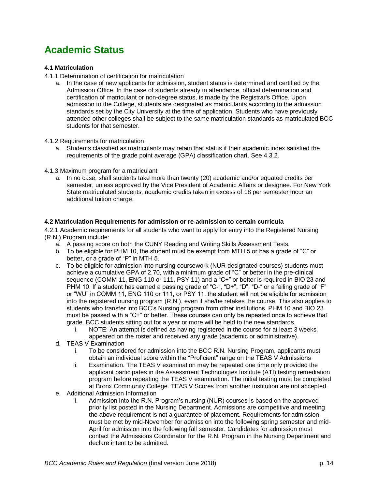# <span id="page-13-0"></span>**Academic Status**

# <span id="page-13-1"></span>**4.1 Matriculation**

- <span id="page-13-2"></span>4.1.1 Determination of certification for matriculation
	- a. In the case of new applicants for admission, student status is determined and certified by the Admission Office. In the case of students already in attendance, official determination and certification of matriculant or non-degree status, is made by the Registrar's Office. Upon admission to the College, students are designated as matriculants according to the admission standards set by the City University at the time of application. Students who have previously attended other colleges shall be subject to the same matriculation standards as matriculated BCC students for that semester.
- <span id="page-13-3"></span>4.1.2 Requirements for matriculation
	- a. Students classified as matriculants may retain that status if their academic index satisfied the requirements of the grade point average (GPA) classification chart. See 4.3.2.
- <span id="page-13-4"></span>4.1.3 Maximum program for a matriculant
	- a. In no case, shall students take more than twenty (20) academic and/or equated credits per semester, unless approved by the Vice President of Academic Affairs or designee. For New York State matriculated students, academic credits taken in excess of 18 per semester incur an additional tuition charge.

#### <span id="page-13-5"></span>**4.2 Matriculation Requirements for admission or re-admission to certain curricula**

<span id="page-13-6"></span>4.2.1 Academic requirements for all students who want to apply for entry into the Registered Nursing (R.N.) Program include:

- a. A passing score on both the CUNY Reading and Writing Skills Assessment Tests.
- b. To be eligible for PHM 10, the student must be exempt from MTH 5 or has a grade of "C" or better, or a grade of "P" in MTH 5.
- c. To be eligible for admission into nursing coursework (NUR designated courses) students must achieve a cumulative GPA of 2.70, with a minimum grade of "C" or better in the pre-clinical sequence (COMM 11, ENG 110 or 111, PSY 11) and a "C+" or better is required in BIO 23 and PHM 10. If a student has earned a passing grade of "C-", "D+", "D", "D-" or a failing grade of "F" or "WU" in COMM 11, ENG 110 or 111, or PSY 11, the student will not be eligible for admission into the registered nursing program (R.N.), even if she/he retakes the course. This also applies to students who transfer into BCC's Nursing program from other institutions. PHM 10 and BIO 23 must be passed with a "C+" or better. These courses can only be repeated once to achieve that grade. BCC students sitting out for a year or more will be held to the new standards.
	- i. NOTE: An attempt is defined as having registered in the course for at least 3 weeks, appeared on the roster and received any grade (academic or administrative).
- d. TEAS V Examination
	- i. To be considered for admission into the BCC R.N. Nursing Program, applicants must obtain an individual score within the "Proficient" range on the TEAS V Admissions
	- ii. Examination. The TEAS V examination may be repeated one time only provided the applicant participates in the Assessment Technologies Institute (ATI) testing remediation program before repeating the TEAS V examination. The initial testing must be completed at Bronx Community College. TEAS V Scores from another institution are not accepted.
- e. Additional Admission Information
	- i. Admission into the R.N. Program's nursing (NUR) courses is based on the approved priority list posted in the Nursing Department. Admissions are competitive and meeting the above requirement is not a guarantee of placement. Requirements for admission must be met by mid-November for admission into the following spring semester and mid-April for admission into the following fall semester. Candidates for admission must contact the Admissions Coordinator for the R.N. Program in the Nursing Department and declare intent to be admitted.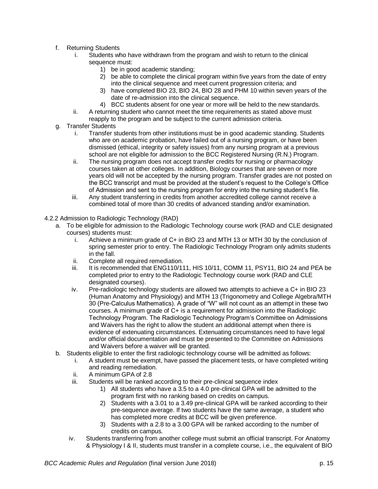- f. Returning Students
	- i. Students who have withdrawn from the program and wish to return to the clinical sequence must:
		- 1) be in good academic standing;
		- 2) be able to complete the clinical program within five years from the date of entry into the clinical sequence and meet current progression criteria; and
		- 3) have completed BIO 23, BIO 24, BIO 28 and PHM 10 within seven years of the date of re-admission into the clinical sequence.
		- 4) BCC students absent for one year or more will be held to the new standards.
	- ii. A returning student who cannot meet the time requirements as stated above must reapply to the program and be subject to the current admission criteria.
- g. Transfer Students
	- i. Transfer students from other institutions must be in good academic standing. Students who are on academic probation, have failed out of a nursing program, or have been dismissed (ethical, integrity or safety issues) from any nursing program at a previous school are not eligible for admission to the BCC Registered Nursing (R.N.) Program.
	- ii. The nursing program does not accept transfer credits for nursing or pharmacology courses taken at other colleges. In addition, Biology courses that are seven or more years old will not be accepted by the nursing program. Transfer grades are not posted on the BCC transcript and must be provided at the student's request to the College's Office of Admission and sent to the nursing program for entry into the nursing student's file.
	- iii. Any student transferring in credits from another accredited college cannot receive a combined total of more than 30 credits of advanced standing and/or examination.
- <span id="page-14-0"></span>4.2.2 Admission to Radiologic Technology (RAD)
	- a. To be eligible for admission to the Radiologic Technology course work (RAD and CLE designated courses) students must:
		- i. Achieve a minimum grade of C+ in BIO 23 and MTH 13 or MTH 30 by the conclusion of spring semester prior to entry. The Radiologic Technology Program only admits students in the fall.
		- ii. Complete all required remediation.
		- iii. It is recommended that ENG110/111, HIS 10/11, COMM 11, PSY11, BIO 24 and PEA be completed prior to entry to the Radiologic Technology course work (RAD and CLE designated courses).
		- iv. Pre-radiologic technology students are allowed two attempts to achieve a C+ in BIO 23 (Human Anatomy and Physiology) and MTH 13 (Trigonometry and College Algebra/MTH 30 (Pre-Calculus Mathematics). A grade of "W" will not count as an attempt in these two courses. A minimum grade of C+ is a requirement for admission into the Radiologic Technology Program. The Radiologic Technology Program's Committee on Admissions and Waivers has the right to allow the student an additional attempt when there is evidence of extenuating circumstances. Extenuating circumstances need to have legal and/or official documentation and must be presented to the Committee on Admissions and Waivers before a waiver will be granted.
	- b. Students eligible to enter the first radiologic technology course will be admitted as follows:
		- i. A student must be exempt, have passed the placement tests, or have completed writing and reading remediation.
		- ii. A minimum GPA of 2.8
		- iii. Students will be ranked according to their pre-clinical sequence index
			- 1) All students who have a 3.5 to a 4.0 pre-clinical GPA will be admitted to the program first with no ranking based on credits on campus.
			- 2) Students with a 3.01 to a 3.49 pre-clinical GPA will be ranked according to their pre-sequence average. If two students have the same average, a student who has completed more credits at BCC will be given preference.
			- 3) Students with a 2.8 to a 3.00 GPA will be ranked according to the number of credits on campus.
		- iv. Students transferring from another college must submit an official transcript. For Anatomy & Physiology I & II, students must transfer in a complete course, i.e., the equivalent of BIO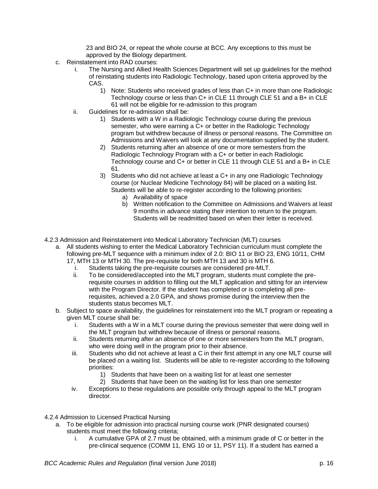23 and BIO 24, or repeat the whole course at BCC. Any exceptions to this must be approved by the Biology department.

- c. Reinstatement into RAD courses:
	- i. The Nursing and Allied Health Sciences Department will set up guidelines for the method of reinstating students into Radiologic Technology, based upon criteria approved by the CAS.
		- 1) Note: Students who received grades of less than C+ in more than one Radiologic Technology course or less than C+ in CLE 11 through CLE 51 and a B+ in CLE 61 will not be eligible for re-admission to this program
	- ii. Guidelines for re-admission shall be:
		- 1) Students with a W in a Radiologic Technology course during the previous semester, who were earning a C+ or better in the Radiologic Technology program but withdrew because of illness or personal reasons. The Committee on Admissions and Waivers will look at any documentation supplied by the student.
		- 2) Students returning after an absence of one or more semesters from the Radiologic Technology Program with a C+ or better in each Radiologic Technology course and C+ or better in CLE 11 through CLE 51 and a B+ in CLE 61.
		- 3) Students who did not achieve at least a C+ in any one Radiologic Technology course (or Nuclear Medicine Technology 84) will be placed on a waiting list. Students will be able to re-register according to the following priorities:
			- a) Availability of space
			- b) Written notification to the Committee on Admissions and Waivers at least 9 months in advance stating their intention to return to the program. Students will be readmitted based on when their letter is received.
- <span id="page-15-0"></span>4.2.3 Admission and Reinstatement into Medical Laboratory Technician (MLT) courses
	- a. All students wishing to enter the Medical Laboratory Technician curriculum must complete the following pre-MLT sequence with a minimum index of 2.0: BIO 11 or BIO 23, ENG 10/11, CHM 17, MTH 13 or MTH 30. The pre-requisite for both MTH 13 and 30 is MTH 6.
		- i. Students taking the pre-requisite courses are considered pre-MLT.
		- ii. To be considered/accepted into the MLT program, students must complete the prerequisite courses in addition to filling out the MLT application and sitting for an interview with the Program Director. If the student has completed or is completing all prerequisites, achieved a 2.0 GPA, and shows promise during the interview then the students status becomes MLT.
	- b. Subject to space availability, the guidelines for reinstatement into the MLT program or repeating a given MLT course shall be:
		- i. Students with a W in a MLT course during the previous semester that were doing well in the MLT program but withdrew because of illness or personal reasons.
		- ii. Students returning after an absence of one or more semesters from the MLT program, who were doing well in the program prior to their absence.
		- iii. Students who did not achieve at least a C in their first attempt in any one MLT course will be placed on a waiting list. Students will be able to re-register according to the following priorities:
			- 1) Students that have been on a waiting list for at least one semester
			- 2) Students that have been on the waiting list for less than one semester
		- iv. Exceptions to these regulations are possible only through appeal to the MLT program director.

<span id="page-15-1"></span>4.2.4 Admission to Licensed Practical Nursing

- a. To be eligible for admission into practical nursing course work (PNR designated courses) students must meet the following criteria;
	- i. A cumulative GPA of 2.7 must be obtained, with a minimum grade of C or better in the pre-clinical sequence (COMM 11, ENG 10 or 11, PSY 11). If a student has earned a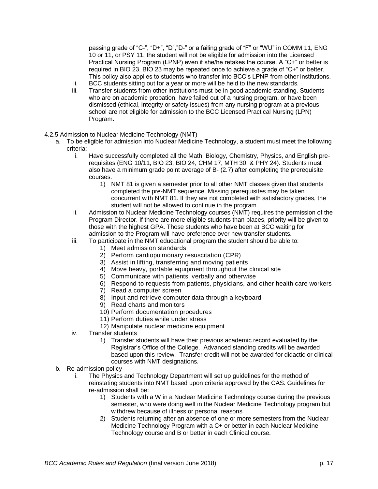passing grade of "C-", "D+", "D","D-" or a failing grade of "F" or "WU" in COMM 11, ENG 10 or 11, or PSY 11, the student will not be eligible for admission into the Licensed Practical Nursing Program (LPNP) even if she/he retakes the course. A "C+" or better is required in BIO 23. BIO 23 may be repeated once to achieve a grade of "C+" or better. This policy also applies to students who transfer into BCC's LPNP from other institutions.

- ii. BCC students sitting out for a year or more will be held to the new standards.
- iii. Transfer students from other institutions must be in good academic standing. Students who are on academic probation, have failed out of a nursing program, or have been dismissed (ethical, integrity or safety issues) from any nursing program at a previous school are not eligible for admission to the BCC Licensed Practical Nursing (LPN) Program.
- <span id="page-16-0"></span>4.2.5 Admission to Nuclear Medicine Technology (NMT)
	- a. To be eligible for admission into Nuclear Medicine Technology, a student must meet the following criteria:
		- i. Have successfully completed all the Math, Biology, Chemistry, Physics, and English prerequisites (ENG 10/11, BIO 23, BIO 24, CHM 17, MTH 30, & PHY 24). Students must also have a minimum grade point average of B- (2.7) after completing the prerequisite courses.
			- 1) NMT 81 is given a semester prior to all other NMT classes given that students completed the pre-NMT sequence. Missing prerequisites may be taken concurrent with NMT 81. If they are not completed with satisfactory grades, the student will not be allowed to continue in the program.
		- ii. Admission to Nuclear Medicine Technology courses (NMT) requires the permission of the Program Director. If there are more eligible students than places, priority will be given to those with the highest GPA. Those students who have been at BCC waiting for admission to the Program will have preference over new transfer students.
		- iii. To participate in the NMT educational program the student should be able to:
			- 1) Meet admission standards
			- 2) Perform cardiopulmonary resuscitation (CPR)
			- 3) Assist in lifting, transferring and moving patients
			- 4) Move heavy, portable equipment throughout the clinical site
			- 5) Communicate with patients, verbally and otherwise
			- 6) Respond to requests from patients, physicians, and other health care workers
			- 7) Read a computer screen
			- 8) Input and retrieve computer data through a keyboard
			- 9) Read charts and monitors
			- 10) Perform documentation procedures
			- 11) Perform duties while under stress
			- 12) Manipulate nuclear medicine equipment
		- iv. Transfer students
			- 1) Transfer students will have their previous academic record evaluated by the Registrar's Office of the College. Advanced standing credits will be awarded based upon this review. Transfer credit will not be awarded for didactic or clinical courses with NMT designations.
	- b. Re-admission policy
		- i. The Physics and Technology Department will set up guidelines for the method of reinstating students into NMT based upon criteria approved by the CAS. Guidelines for re-admission shall be:
			- 1) Students with a W in a Nuclear Medicine Technology course during the previous semester, who were doing well in the Nuclear Medicine Technology program but withdrew because of illness or personal reasons
			- 2) Students returning after an absence of one or more semesters from the Nuclear Medicine Technology Program with a C+ or better in each Nuclear Medicine Technology course and B or better in each Clinical course.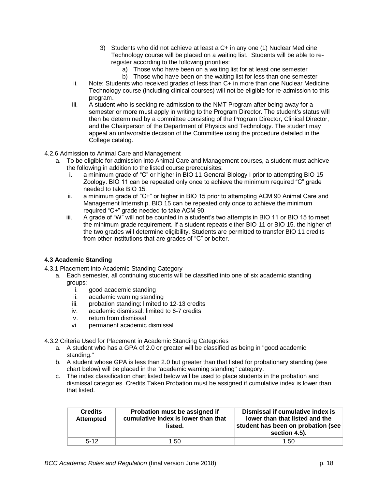- 3) Students who did not achieve at least a C+ in any one (1) Nuclear Medicine Technology course will be placed on a waiting list. Students will be able to reregister according to the following priorities:
	- a) Those who have been on a waiting list for at least one semester
	- b) Those who have been on the waiting list for less than one semester
- ii. Note: Students who received grades of less than C+ in more than one Nuclear Medicine Technology course (including clinical courses) will not be eligible for re-admission to this program.
- iii. A student who is seeking re-admission to the NMT Program after being away for a semester or more must apply in writing to the Program Director. The student's status will then be determined by a committee consisting of the Program Director, Clinical Director, and the Chairperson of the Department of Physics and Technology. The student may appeal an unfavorable decision of the Committee using the procedure detailed in the College catalog.
- <span id="page-17-0"></span>4.2.6 Admission to Animal Care and Management
	- a. To be eligible for admission into Animal Care and Management courses, a student must achieve the following in addition to the listed course prerequisites:
		- i. a minimum grade of "C" or higher in BIO 11 General Biology I prior to attempting BIO 15 Zoology. BIO 11 can be repeated only once to achieve the minimum required "C" grade needed to take BIO 15.
		- ii. a minimum grade of "C+" or higher in BIO 15 prior to attempting ACM 90 Animal Care and Management Internship. BIO 15 can be repeated only once to achieve the minimum required "C+" grade needed to take ACM 90.
		- iii. A grade of "W" will not be counted in a student's two attempts in BIO 11 or BIO 15 to meet the minimum grade requirement. If a student repeats either BIO 11 or BIO 15, the higher of the two grades will determine eligibility. Students are permitted to transfer BIO 11 credits from other institutions that are grades of "C" or better.

# **4.3 Academic Standing**

- <span id="page-17-1"></span>4.3.1 Placement into Academic Standing Category
	- a. Each semester, all continuing students will be classified into one of six academic standing groups:
		- i. good academic standing
		- ii. academic warning standing
		- iii. probation standing: limited to 12-13 credits
		- iv. academic dismissal: limited to 6-7 credits
		- v. return from dismissal
		- vi. permanent academic dismissal
- <span id="page-17-2"></span>4.3.2 Criteria Used for Placement in Academic Standing Categories
	- a. A student who has a GPA of 2.0 or greater will be classified as being in "good academic standing."
	- b. A student whose GPA is less than 2.0 but greater than that listed for probationary standing (see chart below) will be placed in the "academic warning standing" category.
	- c. The index classification chart listed below will be used to place students in the probation and dismissal categories. Credits Taken Probation must be assigned if cumulative index is lower than that listed.

| <b>Credits</b><br><b>Attempted</b> | Probation must be assigned if<br>cumulative index is lower than that<br>listed. | Dismissal if cumulative index is<br>lower than that listed and the<br>student has been on probation (see<br>section 4.5). |
|------------------------------------|---------------------------------------------------------------------------------|---------------------------------------------------------------------------------------------------------------------------|
| $.5 - 12$                          | 1.50                                                                            | 1.50                                                                                                                      |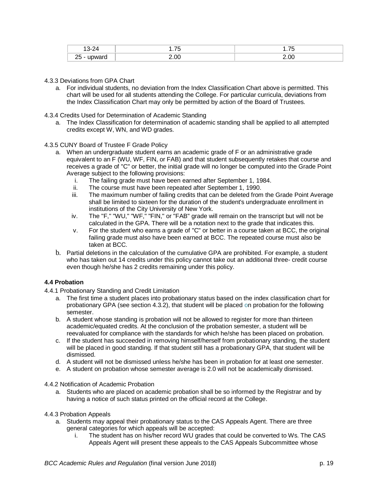|           | $- -$<br>∼<br>. . | --<br>. |
|-----------|-------------------|---------|
| שוג<br>-- |                   |         |

- <span id="page-18-0"></span>4.3.3 Deviations from GPA Chart
	- a. For individual students, no deviation from the Index Classification Chart above is permitted. This chart will be used for all students attending the College. For particular curricula, deviations from the Index Classification Chart may only be permitted by action of the Board of Trustees.
- <span id="page-18-1"></span>4.3.4 Credits Used for Determination of Academic Standing
	- a. The Index Classification for determination of academic standing shall be applied to all attempted credits except W, WN, and WD grades.
- <span id="page-18-2"></span>4.3.5 CUNY Board of Trustee F Grade Policy
	- a. When an undergraduate student earns an academic grade of F or an administrative grade equivalent to an F (WU, WF, FIN, or FAB) and that student subsequently retakes that course and receives a grade of "C" or better, the initial grade will no longer be computed into the Grade Point Average subject to the following provisions:
		- i. The failing grade must have been earned after September 1, 1984.
		- ii. The course must have been repeated after September 1, 1990.
		- iii. The maximum number of failing credits that can be deleted from the Grade Point Average shall be limited to sixteen for the duration of the student's undergraduate enrollment in institutions of the City University of New York.
		- iv. The "F," "WU," "WF," "FIN," or "FAB" grade will remain on the transcript but will not be calculated in the GPA. There will be a notation next to the grade that indicates this.
		- v. For the student who earns a grade of "C" or better in a course taken at BCC, the original failing grade must also have been earned at BCC. The repeated course must also be taken at BCC.
	- b. Partial deletions in the calculation of the cumulative GPA are prohibited. For example, a student who has taken out 14 credits under this policy cannot take out an additional three- credit course even though he/she has 2 credits remaining under this policy.

### <span id="page-18-3"></span>**4.4 Probation**

- <span id="page-18-4"></span>4.4.1 Probationary Standing and Credit Limitation
	- a. The first time a student places into probationary status based on the index classification chart for probationary GPA (see section 4.3.2), that student will be placed on probation for the following semester.
	- b. A student whose standing is probation will not be allowed to register for more than thirteen academic/equated credits. At the conclusion of the probation semester, a student will be reevaluated for compliance with the standards for which he/she has been placed on probation.
	- c. If the student has succeeded in removing himself/herself from probationary standing, the student will be placed in good standing. If that student still has a probationary GPA, that student will be dismissed.
	- d. A student will not be dismissed unless he/she has been in probation for at least one semester.
	- e. A student on probation whose semester average is 2.0 will not be academically dismissed.

### <span id="page-18-5"></span>4.4.2 Notification of Academic Probation

a. Students who are placed on academic probation shall be so informed by the Registrar and by having a notice of such status printed on the official record at the College.

#### <span id="page-18-6"></span>4.4.3 Probation Appeals

- a. Students may appeal their probationary status to the CAS Appeals Agent. There are three general categories for which appeals will be accepted:
	- i. The student has on his/her record WU grades that could be converted to Ws. The CAS Appeals Agent will present these appeals to the CAS Appeals Subcommittee whose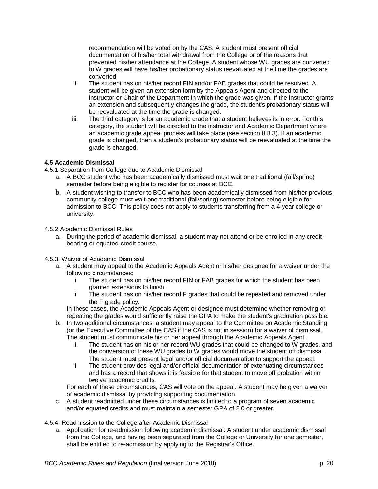recommendation will be voted on by the CAS. A student must present official documentation of his/her total withdrawal from the College or of the reasons that prevented his/her attendance at the College. A student whose WU grades are converted to W grades will have his/her probationary status reevaluated at the time the grades are converted.

- ii. The student has on his/her record FIN and/or FAB grades that could be resolved. A student will be given an extension form by the Appeals Agent and directed to the instructor or Chair of the Department in which the grade was given. If the instructor grants an extension and subsequently changes the grade, the student's probationary status will be reevaluated at the time the grade is changed.
- iii. The third category is for an academic grade that a student believes is in error. For this category, the student will be directed to the instructor and Academic Department where an academic grade appeal process will take place (see section 8.8.3). If an academic grade is changed, then a student's probationary status will be reevaluated at the time the grade is changed.

# <span id="page-19-0"></span>**4.5 Academic Dismissal**

4.5.1 Separation from College due to Academic Dismissal

- a. A BCC student who has been academically dismissed must wait one traditional (fall/spring) semester before being eligible to register for courses at BCC.
- b. A student wishing to transfer to BCC who has been academically dismissed from his/her previous community college must wait one traditional (fall/spring) semester before being eligible for admission to BCC. This policy does not apply to students transferring from a 4-year college or university.

# <span id="page-19-1"></span>4.5.2 Academic Dismissal Rules

a. During the period of academic dismissal, a student may not attend or be enrolled in any creditbearing or equated-credit course.

# <span id="page-19-2"></span>4.5.3. Waiver of Academic Dismissal

- a. A student may appeal to the Academic Appeals Agent or his/her designee for a waiver under the following circumstances:
	- i. The student has on his/her record FIN or FAB grades for which the student has been granted extensions to finish.
	- ii. The student has on his/her record F grades that could be repeated and removed under the F grade policy.

In these cases, the Academic Appeals Agent or designee must determine whether removing or repeating the grades would sufficiently raise the GPA to make the student's graduation possible.

- b. In two additional circumstances, a student may appeal to the Committee on Academic Standing (or the Executive Committee of the CAS if the CAS is not in session) for a waiver of dismissal. The student must communicate his or her appeal through the Academic Appeals Agent.
	- i. The student has on his or her record WU grades that could be changed to  $\overline{W}$  grades, and the conversion of these WU grades to W grades would move the student off dismissal. The student must present legal and/or official documentation to support the appeal.
	- ii. The student provides legal and/or official documentation of extenuating circumstances and has a record that shows it is feasible for that student to move off probation within twelve academic credits.

For each of these circumstances, CAS will vote on the appeal. A student may be given a waiver of academic dismissal by providing supporting documentation.

c. A student readmitted under these circumstances is limited to a program of seven academic and/or equated credits and must maintain a semester GPA of 2.0 or greater.

# <span id="page-19-3"></span>4.5.4. Readmission to the College after Academic Dismissal

a. Application for re-admission following academic dismissal: A student under academic dismissal from the College, and having been separated from the College or University for one semester, shall be entitled to re-admission by applying to the Registrar's Office.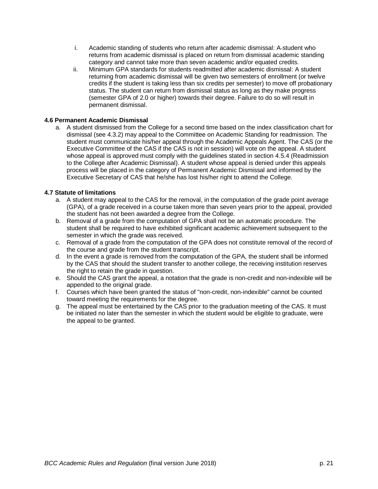- i. Academic standing of students who return after academic dismissal: A-student who returns from academic dismissal is placed on return from dismissal academic standing category and cannot take more than seven academic and/or equated credits.
- ii. Minimum GPA standards for students readmitted after academic dismissal: A student returning from academic dismissal will be given two semesters of enrollment (or twelve credits if the student is taking less than six credits per semester) to move off probationary status. The student can return from dismissal status as long as they make progress (semester GPA of 2.0 or higher) towards their degree. Failure to do so will result in permanent dismissal.

# <span id="page-20-0"></span>**4.6 Permanent Academic Dismissal**

a. A student dismissed from the College for a second time based on the index classification chart for dismissal (see 4.3.2) may appeal to the Committee on Academic Standing for readmission. The student must communicate his/her appeal through the Academic Appeals Agent. The CAS (or the Executive Committee of the CAS if the CAS is not in session) will vote on the appeal. A student whose appeal is approved must comply with the guidelines stated in section 4.5.4 (Readmission to the College after Academic Dismissal). A student whose appeal is denied under this appeals process will be placed in the category of Permanent Academic Dismissal and informed by the Executive Secretary of CAS that he/she has lost his/her right to attend the College.

# <span id="page-20-1"></span>**4.7 Statute of limitations**

- a. A student may appeal to the CAS for the removal, in the computation of the grade point average (GPA), of a grade received in a course taken more than seven years prior to the appeal, provided the student has not been awarded a degree from the College.
- b. Removal of a grade from the computation of GPA shall not be an automatic procedure. The student shall be required to have exhibited significant academic achievement subsequent to the semester in which the grade was received.
- c. Removal of a grade from the computation of the GPA does not constitute removal of the record of the course and grade from the student transcript.
- d. In the event a grade is removed from the computation of the GPA, the student shall be informed by the CAS that should the student transfer to another college, the receiving institution reserves the right to retain the grade in question.
- e. Should the CAS grant the appeal, a notation that the grade is non-credit and non-indexible will be appended to the original grade.
- f. Courses which have been granted the status of "non-credit, non-indexible" cannot be counted toward meeting the requirements for the degree.
- g. The appeal must be entertained by the CAS prior to the graduation meeting of the CAS. It must be initiated no later than the semester in which the student would be eligible to graduate, were the appeal to be granted.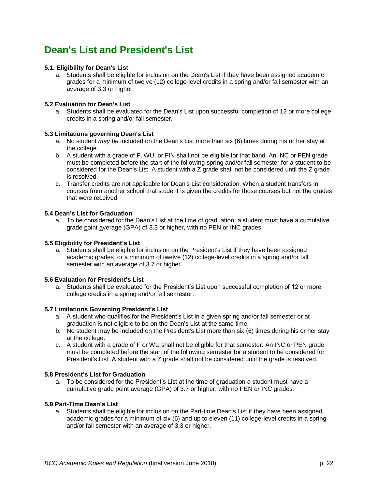# <span id="page-21-0"></span>**Dean's List and President's List**

# <span id="page-21-1"></span>**5.1. Eligibility for Dean's List**

a. Students shall be eligible for inclusion on the Dean's List if they have been assigned academic grades for a minimum of twelve (12) college-level credits in a spring and/or fall semester with an average of 3.3 or higher.

### <span id="page-21-2"></span>**5.2 Evaluation for Dean's List**

a. Students shall be evaluated for the Dean's List upon successful completion of 12 or more college credits in a spring and/or fall semester.

### <span id="page-21-3"></span>**5.3 Limitations governing Dean's List**

- a. No student *may be* included on the Dean's List more than six (6) times during his or her stay at the college.
- b. A student with a grade of F, WU, or FIN shall not be eligible for that band. An INC or PEN grade must be completed before the start of the following spring and/or fall semester for a student to be considered for the Dean's List. A student with a Z grade shall not be considered until the Z grade is resolved.
- c. Transfer credits are not applicable for Dean's List consideration. When a student transfers in courses from another school that student is given the credits for those courses but not the grades that were received.

# <span id="page-21-4"></span>**5.4 Dean's List for Graduation**

a. To be considered for the Dean's List at the time of graduation, a student must have a cumulative grade point average (GPA) of 3.3 or higher, with no PEN or INC grades.

### <span id="page-21-5"></span>**5.5 Eligibility for President's List**

a. Students shall be eligible for inclusion on the President's List if they have been assigned academic grades for a minimum of twelve (12) college-level credits in a spring and/or fall semester with an average of 3.7 or higher.

### <span id="page-21-6"></span>**5.6 Evaluation for President's List**

a. Students shall be evaluated for the President's List upon successful completion of 12 or more college credits in a spring and/or fall semester.

### <span id="page-21-7"></span>**5.7 Limitations Governing President's List**

- a. A student who qualifies for the President's List in a given spring and/or fall semester or at graduation is not eligible to be on the Dean's List at the same time.
- b. No student may be included on the President's List more than six (6) times during his or her stay at the college.
- c. A student with a grade of F or WU shall not be eligible for that semester. An INC or PEN grade must be completed before the start of the following semester for a student to be considered for President's List. A student with a Z grade shall not be considered until the grade is resolved.

### <span id="page-21-8"></span>**5.8 President's List for Graduation**

a. To be considered for the President's List at the time of graduation a student must have a cumulative grade point average (GPA) of 3.7 or higher, with no PEN or INC grades.

### <span id="page-21-9"></span>**5.9 Part-Time Dean's List**

a. Students shall be eligible for inclusion on the Part-time Dean's List if they have been assigned academic grades for a minimum of six (6) and up to eleven (11) college-level credits in a spring and/or fall semester with an average of 3.3 or higher.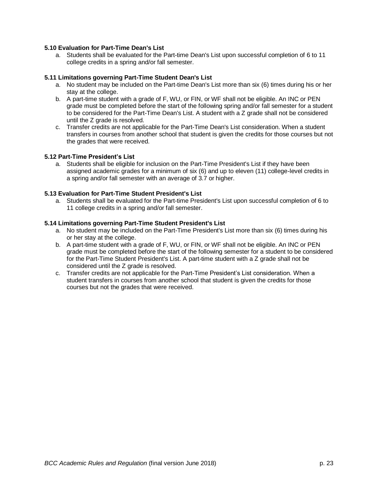# <span id="page-22-0"></span>**5.10 Evaluation for Part-Time Dean's List**

a. Students shall be evaluated for the Part-time Dean's List upon successful completion of 6 to 11 college credits in a spring and/or fall semester.

### <span id="page-22-1"></span>**5.11 Limitations governing Part-Time Student Dean's List**

- a. No student may be included on the Part-time Dean's List more than six (6) times during his or her stay at the college.
- b. A part-time student with a grade of F, WU, or FIN, or WF shall not be eligible. An INC or PEN grade must be completed before the start of the following spring and/or fall semester for a student to be considered for the Part-Time Dean's List. A student with a Z grade shall not be considered until the Z grade is resolved.
- c. Transfer credits are not applicable for the Part-Time Dean's List consideration. When a student transfers in courses from another school that student is given the credits for those courses but not the grades that were received.

# <span id="page-22-2"></span>**5.12 Part-Time President's List**

a. Students shall be eligible for inclusion on the Part-Time President's List if they have been assigned academic grades for a minimum of six (6) and up to eleven (11) college-level credits in a spring and/or fall semester with an average of 3.7 or higher.

# <span id="page-22-3"></span>**5.13 Evaluation for Part-Time Student President's List**

a. Students shall be evaluated for the Part-time President's List upon successful completion of 6 to 11 college credits in a spring and/or fall semester.

### <span id="page-22-4"></span>**5.14 Limitations governing Part-Time Student President's List**

- a. No student may be included on the Part-Time President's List more than six (6) times during his or her stay at the college.
- b. A part-time student with a grade of F, WU, or FIN, or WF shall not be eligible. An INC or PEN grade must be completed before the start of the following semester for a student to be considered for the Part-Time Student President's List. A part-time student with a Z grade shall not be considered until the Z grade is resolved.
- c. Transfer credits are not applicable for the Part-Time President's List consideration. When a student transfers in courses from another school that student is given the credits for those courses but not the grades that were received.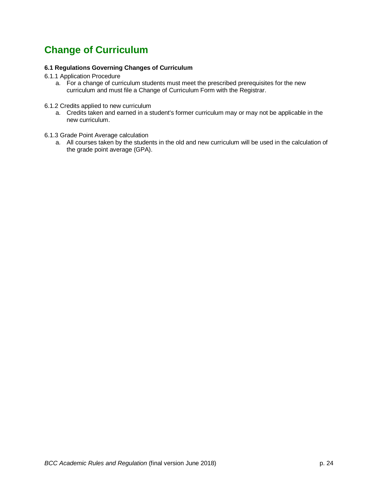# <span id="page-23-0"></span>**Change of Curriculum**

# <span id="page-23-1"></span>**6.1 Regulations Governing Changes of Curriculum**

- <span id="page-23-2"></span>6.1.1 Application Procedure
	- a. For a change of curriculum students must meet the prescribed prerequisites for the new curriculum and must file a Change of Curriculum Form with the Registrar.
- <span id="page-23-3"></span>6.1.2 Credits applied to new curriculum
	- a. Credits taken and earned in a student's former curriculum may or may not be applicable in the new curriculum.
- <span id="page-23-4"></span>6.1.3 Grade Point Average calculation
	- a. All courses taken by the students in the old and new curriculum will be used in the calculation of the grade point average (GPA).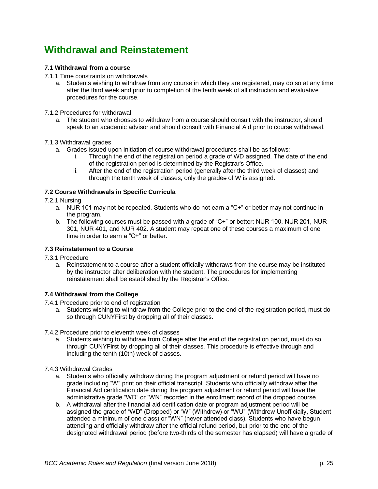# <span id="page-24-0"></span>**Withdrawal and Reinstatement**

# <span id="page-24-1"></span>**7.1 Withdrawal from a course**

- <span id="page-24-2"></span>7.1.1 Time constraints on withdrawals
	- a. Students wishing to withdraw from any course in which they are registered, may do so at any time after the third week and prior to completion of the tenth week of all instruction and evaluative procedures for the course.
- <span id="page-24-3"></span>7.1.2 Procedures for withdrawal
	- a. The student who chooses to withdraw from a course should consult with the instructor, should speak to an academic advisor and should consult with Financial Aid prior to course withdrawal.

# <span id="page-24-4"></span>7.1.3 Withdrawal grades

- a. Grades issued upon initiation of course withdrawal procedures shall be as follows:
	- i. Through the end of the registration period a grade of WD assigned. The date of the end of the registration period is determined by the Registrar's Office.
	- ii. After the end of the registration period (generally after the third week of classes) and through the tenth week of classes, only the grades of W is assigned.

# <span id="page-24-5"></span>**7.2 Course Withdrawals in Specific Curricula**

- <span id="page-24-6"></span>7.2.1 Nursing
	- a. NUR 101 may not be repeated. Students who do not earn a "C+" or better may not continue in the program.
	- b. The following courses must be passed with a grade of "C+" or better: NUR 100, NUR 201, NUR 301, NUR 401, and NUR 402. A student may repeat one of these courses a maximum of one time in order to earn a "C+" or better.

# <span id="page-24-7"></span>**7.3 Reinstatement to a Course**

- <span id="page-24-8"></span>7.3.1 Procedure
	- a. Reinstatement to a course after a student officially withdraws from the course may be instituted by the instructor after deliberation with the student. The procedures for implementing reinstatement shall be established by the Registrar's Office.

# <span id="page-24-9"></span>**7.4 Withdrawal from the College**

- <span id="page-24-10"></span>7.4.1 Procedure prior to end of registration
	- a. Students wishing to withdraw from the College prior to the end of the registration period, must do so through CUNYFirst by dropping all of their classes.

### <span id="page-24-11"></span>7.4.2 Procedure prior to eleventh week of classes

- a. Students wishing to withdraw from College after the end of the registration period, must do so through CUNYFirst by dropping all of their classes. This procedure is effective through and including the tenth (10th) week of classes.
- <span id="page-24-12"></span>7.4.3 Withdrawal Grades
	- a. Students who officially withdraw during the program adjustment or refund period will have no grade including "W" print on their official transcript. Students who officially withdraw after the Financial Aid certification date during the program adjustment or refund period will have the administrative grade "WD" or "WN" recorded in the enrollment record of the dropped course.
	- b. A withdrawal after the financial aid certification date or program adjustment period will be assigned the grade of "WD" (Dropped) or "W" (Withdrew) or "WU" (Withdrew Unofficially, Student attended a minimum of one class) or "WN" (never attended class). Students who have begun attending and officially withdraw after the official refund period, but prior to the end of the designated withdrawal period (before two-thirds of the semester has elapsed) will have a grade of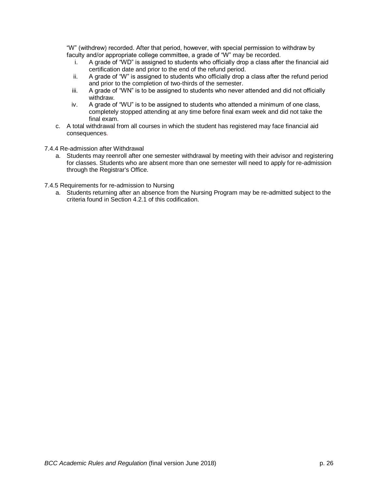"W" (withdrew) recorded. After that period, however, with special permission to withdraw by faculty and/or appropriate college committee, a grade of "W" may be recorded.

- i. A grade of "WD" is assigned to students who officially drop a class after the financial aid certification date and prior to the end of the refund period.
- ii. A grade of "W" is assigned to students who officially drop a class after the refund period and prior to the completion of two-thirds of the semester.
- iii. A grade of "WN" is to be assigned to students who never attended and did not officially withdraw.
- iv. A grade of "WU" is to be assigned to students who attended a minimum of one class, completely stopped attending at any time before final exam week and did not take the final exam.
- c. A total withdrawal from all courses in which the student has registered may face financial aid consequences.
- <span id="page-25-0"></span>7.4.4 Re-admission after Withdrawal
	- a. Students may reenroll after one semester withdrawal by meeting with their advisor and registering for classes. Students who are absent more than one semester will need to apply for re-admission through the Registrar's Office.
- <span id="page-25-1"></span>7.4.5 Requirements for re-admission to Nursing
	- a. Students returning after an absence from the Nursing Program may be re-admitted subject to the criteria found in Section 4.2.1 of this codification.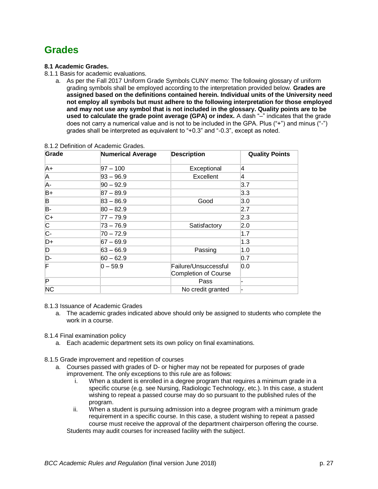# <span id="page-26-0"></span>**Grades**

# <span id="page-26-1"></span>**8.1 Academic Grades.**

- <span id="page-26-2"></span>8.1.1 Basis for academic evaluations.
	- a. As per the Fall 2017 Uniform Grade Symbols CUNY memo: The following glossary of uniform grading symbols shall be employed according to the interpretation provided below. **Grades are assigned based on the definitions contained herein. Individual units of the University need not employ all symbols but must adhere to the following interpretation for those employed and may not use any symbol that is not included in the glossary. Quality points are to be used to calculate the grade point average (GPA) or index.** A dash "–" indicates that the grade does not carry a numerical value and is not to be included in the GPA. Plus ("+") and minus ("-") grades shall be interpreted as equivalent to "+0.3" and "-0.3", except as noted.

| Grade                   | <b>Numerical Average</b> | <b>Description</b>                                  | <b>Quality Points</b> |
|-------------------------|--------------------------|-----------------------------------------------------|-----------------------|
| A+                      | $97 - 100$               | Exceptional                                         | 14                    |
| A                       | $ 93 - 96.9$             | Excellent                                           | 14                    |
| A-                      | $ 90 - 92.9$             |                                                     | 3.7                   |
| $B+$                    | $ 87 - 89.9 $            |                                                     | 3.3                   |
| B                       | $83 - 86.9$              | Good                                                | 3.0                   |
| B-                      | $80 - 82.9$              |                                                     | 2.7                   |
| $ C+$                   | 77 – 79.9                |                                                     | 2.3                   |
| $\overline{\mathsf{C}}$ | 73 – 76.9                | Satisfactory                                        | 2.0                   |
| $\overline{C}$ -        | $70 - 72.9$              |                                                     | 1.7                   |
| $D+$                    | $67 - 69.9$              |                                                     | 1.3                   |
| D                       | $63 - 66.9$              | Passing                                             | 1.0                   |
| $\overline{D}$ -        | $60 - 62.9$              |                                                     | 0.7                   |
| F                       | $0-59.9$                 | Failure/Unsuccessful<br><b>Completion of Course</b> | 0.0                   |
| P                       |                          | Pass                                                |                       |
| <b>NC</b>               |                          | No credit granted                                   |                       |

### <span id="page-26-3"></span>8.1.2 Definition of Academic Grades.

# <span id="page-26-4"></span>8.1.3 Issuance of Academic Grades

a. The academic grades indicated above should only be assigned to students who complete the work in a course.

# <span id="page-26-5"></span>8.1.4 Final examination policy

- a. Each academic department sets its own policy on final examinations.
- <span id="page-26-6"></span>8.1.5 Grade improvement and repetition of courses
	- a. Courses passed with grades of D- or higher may not be repeated for purposes of grade improvement. The only exceptions to this rule are as follows:
		- i. When a student is enrolled in a degree program that requires a minimum grade in a specific course (e.g. see Nursing, Radiologic Technology, etc.). In this case, a student wishing to repeat a passed course may do so pursuant to the published rules of the program.
		- ii. When a student is pursuing admission into a degree program with a minimum grade requirement in a specific course. In this case, a student wishing to repeat a passed course must receive the approval of the department chairperson offering the course. Students may audit courses for increased facility with the subject.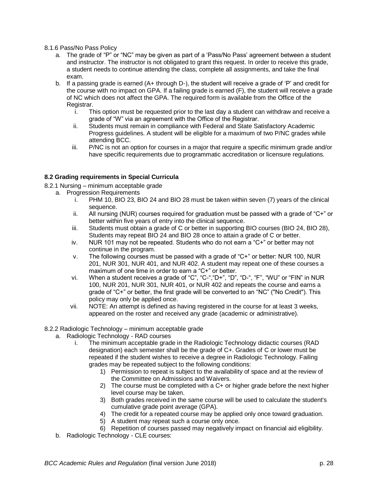### <span id="page-27-0"></span>8.1.6 Pass/No Pass Policy

- a. The grade of "P" or "NC" may be given as part of a 'Pass/No Pass' agreement between a student and instructor. The instructor is not obligated to grant this request. In order to receive this grade, a student needs to continue attending the class, complete all assignments, and take the final exam.
- b. If a passing grade is earned (A+ through D-), the student will receive a grade of 'P' and credit for the course with no impact on GPA. If a failing grade is earned (F), the student will receive a grade of NC which does not affect the GPA. The required form is available from the Office of the Registrar.
	- i. This option must be requested prior to the last day a student can withdraw and receive a grade of "W" via an agreement with the Office of the Registrar.
	- ii. Students must remain in compliance with Federal and State Satisfactory Academic Progress guidelines. A student will be eligible for a maximum of two P/NC grades while attending BCC.
	- iii. P/NC is not an option for courses in a major that require a specific minimum grade and/or have specific requirements due to programmatic accreditation or licensure regulations.

# <span id="page-27-1"></span>**8.2 Grading requirements in Special Curricula**

- <span id="page-27-2"></span>8.2.1 Nursing – minimum acceptable grade
	- a. Progression Requirements
		- i. PHM 10, BIO 23, BIO 24 and BIO 28 must be taken within seven (7) years of the clinical sequence.
		- ii. All nursing (NUR) courses required for graduation must be passed with a grade of "C+" or better within five years of entry into the clinical sequence.
		- iii. Students must obtain a grade of C or better in supporting BIO courses (BIO 24, BIO 28), Students may repeat BIO 24 and BIO 28 once to attain a grade of C or better.
		- iv. NUR 101 may not be repeated. Students who do not earn a "C+" or better may not continue in the program.
		- v. The following courses must be passed with a grade of "C+" or better: NUR 100, NUR 201, NUR 301, NUR 401, and NUR 402. A student may repeat one of these courses a maximum of one time in order to earn a "C+" or better.
		- vi. When a student receives a grade of "C", "C-","D+", "D", "D-", "F", "WU" or "FIN" in NUR 100, NUR 201, NUR 301, NUR 401, or NUR 402 and repeats the course and earns a grade of "C+" or better, the first grade will be converted to an "NC" ("No Credit"). This policy may only be applied once.
		- vii. NOTE: An attempt is defined as having registered in the course for at least 3 weeks, appeared on the roster and received any grade (academic or administrative).

# <span id="page-27-3"></span>8.2.2 Radiologic Technology – minimum acceptable grade

- a. Radiologic Technology RAD courses
	- i. The minimum acceptable grade in the Radiologic Technology didactic courses (RAD designation) each semester shall be the grade of C+. Grades of C or lower must be repeated if the student wishes to receive a degree in Radiologic Technology. Failing grades may be repeated subject to the following conditions:
		- 1) Permission to repeat is subject to the availability of space and at the review of the Committee on Admissions and Waivers.
		- 2) The course must be completed with a C+ or higher grade before the next higher level course may be taken.
		- 3) Both grades received in the same course will be used to calculate the student's cumulative grade point average (GPA).
		- 4) The credit for a repeated course may be applied only once toward graduation.
		- 5) A student may repeat such a course only once.
		- 6) Repetition of courses passed may negatively impact on financial aid eligibility.
- b. Radiologic Technology CLE courses: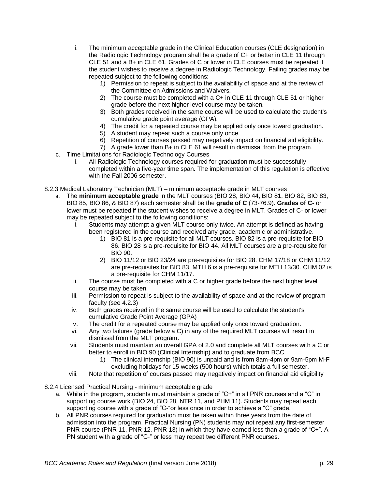- i. The minimum acceptable grade in the Clinical Education courses (CLE designation) in the Radiologic Technology program shall be a grade of C+ or better in CLE 11 through CLE 51 and a B+ in CLE 61. Grades of C or lower in CLE courses must be repeated if the student wishes to receive a degree in Radiologic Technology. Failing grades may be repeated subject to the following conditions:
	- 1) Permission to repeat is subject to the availability of space and at the review of the Committee on Admissions and Waivers.
	- 2) The course must be completed with a C+ in CLE 11 through CLE 51 or higher grade before the next higher level course may be taken.
	- 3) Both grades received in the same course will be used to calculate the student's cumulative grade point average (GPA).
	- 4) The credit for a repeated course may be applied only once toward graduation.
	- 5) A student may repeat such a course only once.
	- 6) Repetition of courses passed may negatively impact on financial aid eligibility.
	- 7) A grade lower than B+ in CLE 61 will result in dismissal from the program.
- c. Time Limitations for Radiologic Technology Courses
	- i. All Radiologic Technology courses required for graduation must be successfully completed within a five-year time span. The implementation of this regulation is effective with the Fall 2006 semester.
- <span id="page-28-0"></span>8.2.3 Medical Laboratory Technician (MLT) – minimum acceptable grade in MLT courses
	- a. The **minimum acceptable grade** in the MLT courses (BIO 28, BIO 44, BIO 81, BIO 82, BIO 83, BIO 85, BIO 86, & BIO 87) each semester shall be the **grade of C** (73-76.9). **Grades of C-** or lower must be repeated if the student wishes to receive a degree in MLT. Grades of C- or lower may be repeated subject to the following conditions:
		- i. Students may attempt a given MLT course only twice. An attempt is defined as having been registered in the course and received any grade, academic or administrative.
			- 1) BIO 81 is a pre-requisite for all MLT courses. BIO 82 is a pre-requisite for BIO 86. BIO 28 is a pre-requisite for BIO 44. All MLT courses are a pre-requisite for BIO 90.
			- 2) BIO 11/12 or BIO 23/24 are pre-requisites for BIO 28. CHM 17/18 or CHM 11/12 are pre-requisites for BIO 83. MTH 6 is a pre-requisite for MTH 13/30. CHM 02 is a pre-requisite for CHM 11/17.
		- ii. The course must be completed with a C or higher grade before the next higher level course may be taken.
		- iii. Permission to repeat is subject to the availability of space and at the review of program faculty (see 4.2.3)
		- iv. Both grades received in the same course will be used to calculate the student's cumulative Grade Point Average (GPA)
		- v. The credit for a repeated course may be applied only once toward graduation.
		- vi. Any two failures (grade below a C) in any of the required MLT courses will result in dismissal from the MLT program.
		- vii. Students must maintain an overall GPA of 2.0 and complete all MLT courses with a C or better to enroll in BIO 90 (Clinical Internship) and to graduate from BCC.
			- 1) The clinical internship (BIO 90) is unpaid and is from 8am-4pm or 9am-5pm M-F excluding holidays for 15 weeks (500 hours) which totals a full semester.
		- viii. Note that repetition of courses passed may negatively impact on financial aid eligibility
- <span id="page-28-1"></span>8.2.4 Licensed Practical Nursing - minimum acceptable grade
	- a. While in the program, students must maintain a grade of "C+" in all PNR courses and a "C" in supporting course work (BIO 24, BIO 28, NTR 11, and PHM 11). Students may repeat each supporting course with a grade of "C-"or less once in order to achieve a "C" grade.
	- b. All PNR courses required for graduation must be taken within three years from the date of admission into the program. Practical Nursing (PN) students may not repeat any first-semester PNR course (PNR 11, PNR 12, PNR 13) in which they have earned less than a grade of "C+". A PN student with a grade of "C-" or less may repeat two different PNR courses.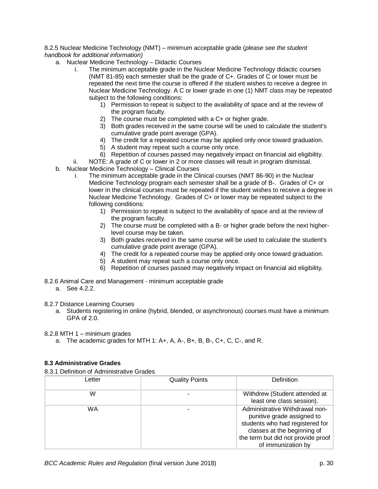### <span id="page-29-0"></span>8.2.5 Nuclear Medicine Technology (NMT) – minimum acceptable grade (*please see the student handbook for additional information)*

- a. Nuclear Medicine Technology Didactic Courses
	- i. The minimum acceptable grade in the Nuclear Medicine Technology didactic courses (NMT 81-85) each semester shall be the grade of C+. Grades of C or lower must be repeated the next time the course is offered if the student wishes to receive a degree in Nuclear Medicine Technology. A C or lower grade in one (1) NMT class may be repeated subject to the following conditions:
		- 1) Permission to repeat is subject to the availability of space and at the review of the program faculty.
		- 2) The course must be completed with a C+ or higher grade.
		- 3) Both grades received in the same course will be used to calculate the student's cumulative grade point average (GPA).
		- 4) The credit for a repeated course may be applied only once toward graduation.
		- 5) A student may repeat such a course only once.
		- 6) Repetition of courses passed may negatively impact on financial aid eligibility.

ii. NOTE: A grade of C or lower in 2 or more classes will result in program dismissal.

- b. Nuclear Medicine Technology Clinical Courses
	- i. The minimum acceptable grade in the Clinical courses (NMT 86-90) in the Nuclear Medicine Technology program each semester shall be a grade of B-. Grades of C+ or lower in the clinical courses must be repeated if the student wishes to receive a degree in Nuclear Medicine Technology. Grades of C+ or lower may be repeated subject to the following conditions:
		- 1) Permission to repeat is subject to the availability of space and at the review of the program faculty.
		- 2) The course must be completed with a B- or higher grade before the next higherlevel course may be taken.
		- 3) Both grades received in the same course will be used to calculate the student's cumulative grade point average (GPA).
		- 4) The credit for a repeated course may be applied only once toward graduation.
		- 5) A student may repeat such a course only once.
		- 6) Repetition of courses passed may negatively impact on financial aid eligibility.
- <span id="page-29-1"></span>8.2.6 Animal Care and Management - minimum acceptable grade
	- a. See 4.2.2.

<span id="page-29-2"></span>8.2.7 Distance Learning Courses

a. Students registering in online (hybrid, blended, or asynchronous) courses must have a minimum GPA of 2.0.

<span id="page-29-3"></span>8.2.8 MTH 1 – minimum grades

a. The academic grades for MTH 1: A+, A, A-, B+, B, B-, C+, C, C-, and R.

# <span id="page-29-4"></span>**8.3 Administrative Grades**

<span id="page-29-5"></span>8.3.1 Definition of Administrative Grades

| Letter | <b>Quality Points</b> | Definition                                                                                                                                                                                 |
|--------|-----------------------|--------------------------------------------------------------------------------------------------------------------------------------------------------------------------------------------|
| W      |                       | Withdrew (Student attended at<br>least one class session).                                                                                                                                 |
| WA     |                       | Administrative Withdrawal non-<br>punitive grade assigned to<br>students who had registered for<br>classes at the beginning of<br>the term but did not provide proof<br>of immunization by |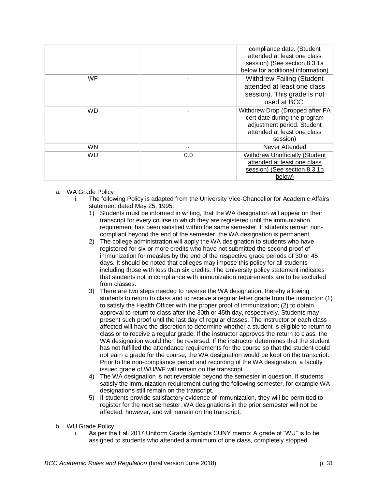|           |     | compliance date. (Student<br>attended at least one class<br>session) (See section 8.3.1a<br>below for additional information)            |
|-----------|-----|------------------------------------------------------------------------------------------------------------------------------------------|
| WF        |     | <b>Withdrew Failing (Student</b><br>attended at least one class<br>session). This grade is not<br>used at BCC.                           |
| WD        |     | Withdrew Drop (Dropped after FA<br>cert date during the program<br>adjustment period. Student<br>attended at least one class<br>session) |
| <b>WN</b> |     | Never Attended                                                                                                                           |
| WU        | 0.0 | <b>Withdrew Unofficially (Student</b><br>attended at least one class<br>session) (See section 8.3.1b)<br>below)                          |

- a. WA Grade Policy
	- The following Policy is adapted from the University Vice-Chancellor for Academic Affairs statement dated May 25, 1995.
		- 1) Students must be informed in writing, that the WA designation will appear on their transcript for every course in which they are registered until the immunization requirement has been satisfied within the same semester. If students remain noncompliant beyond the end of the semester, the WA designation is permanent.
		- 2) The college administration will apply the WA designation to students who have registered for six or more credits who have not submitted the second proof of immunization for measles by the end of the respective grace periods of 30 or 45 days. It should be noted that colleges may impose this policy for all students including those with less than six credits. The University policy statement indicates that students not in compliance with immunization requirements are to be excluded from classes.
		- 3) There are two steps needed to reverse the WA designation, thereby allowing students to return to class and to receive a regular letter grade from the instructor: (1) to satisfy the Health Officer with the proper proof of immunization; (2) to obtain approval to return to class after the 30th or 45th day, respectively. Students may present such proof until the last day of regular classes. The instructor or each class affected will have the discretion to determine whether a student is eligible to return to class or to receive a regular grade. If the instructor approves the return to class, the WA designation would then be reversed. If the instructor determines that the student has not fulfilled the attendance requirements for the course so that the student could not earn a grade for the course, the WA designation would be kept on the transcript. Prior to the non-compliance period and recording of the WA designation, a faculty issued grade of WU/WF will remain on the transcript.
		- 4) The WA designation is not reversible beyond the semester in question. If students satisfy the immunization requirement during the following semester, for example WA designations still remain on the transcript.
		- 5) If students provide satisfactory evidence of immunization, they will be permitted to register for the next semester. WA designations in the prior semester will not be affected, however, and will remain on the transcript.
- b. WU Grade Policy
	- i. As per the Fall 2017 Uniform Grade Symbols CUNY memo: A grade of "WU" is to be assigned to students who attended a minimum of one class, completely stopped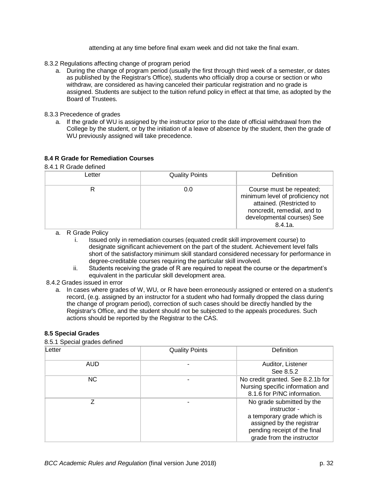attending at any time before final exam week and did not take the final exam.

- <span id="page-31-0"></span>8.3.2 Regulations affecting change of program period
	- a. During the change of program period (usually the first through third week of a semester, or dates as published by the Registrar's Office), students who officially drop a course or section or who withdraw, are considered as having canceled their particular registration and no grade is assigned. Students are subject to the tuition refund policy in effect at that time, as adopted by the Board of Trustees.
- <span id="page-31-1"></span>8.3.3 Precedence of grades
	- a. If the grade of WU is assigned by the instructor prior to the date of official withdrawal from the College by the student, or by the initiation of a leave of absence by the student, then the grade of WU previously assigned will take precedence.

# <span id="page-31-2"></span>**8.4 R Grade for Remediation Courses**

### <span id="page-31-3"></span>8.4.1 R Grade defined

| Letter | <b>Quality Points</b> | Definition                                                                                                                                                      |
|--------|-----------------------|-----------------------------------------------------------------------------------------------------------------------------------------------------------------|
|        | 0.0                   | Course must be repeated;<br>minimum level of proficiency not<br>attained. (Restricted to<br>noncredit, remedial, and to<br>developmental courses) See<br>8.4.1a |

- a. R Grade Policy
	- i. Issued only in remediation courses (equated credit skill improvement course) to designate significant achievement on the part of the student. Achievement level falls short of the satisfactory minimum skill standard considered necessary for performance in degree-creditable courses requiring the particular skill involved.
	- ii. Students receiving the grade of R are required to repeat the course or the department's equivalent in the particular skill development area.
- 8.4.2 Grades issued in error
	- a. In cases where grades of W, WU, or R have been erroneously assigned or entered on a student's record, (e.g. assigned by an instructor for a student who had formally dropped the class during the change of program period), correction of such cases should be directly handled by the Registrar's Office, and the student should not be subjected to the appeals procedures. Such actions should be reported by the Registrar to the CAS.

# <span id="page-31-4"></span>**8.5 Special Grades**

# <span id="page-31-5"></span>8.5.1 Special grades defined

| 0.0.1 Opeudi yraugo uchligu<br>Letter | <b>Quality Points</b> | Definition                                                                                                                                                        |
|---------------------------------------|-----------------------|-------------------------------------------------------------------------------------------------------------------------------------------------------------------|
| <b>AUD</b>                            |                       | Auditor, Listener<br>See 8.5.2                                                                                                                                    |
| NC.                                   |                       | No credit granted. See 8.2.1b for<br>Nursing specific information and<br>8.1.6 for P/NC information.                                                              |
| 7                                     |                       | No grade submitted by the<br>instructor -<br>a temporary grade which is<br>assigned by the registrar<br>pending receipt of the final<br>grade from the instructor |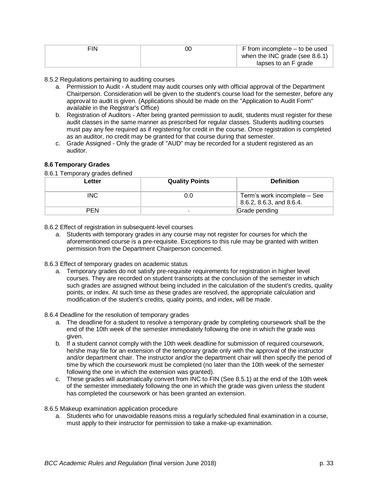| FIN | F from incomplete – to be used    |
|-----|-----------------------------------|
|     | when the INC grade (see $8.6.1$ ) |
|     | lapses to an F grade              |

### <span id="page-32-0"></span>8.5.2 Regulations pertaining to auditing courses

- a. Permission to Audit A student may audit courses only with official approval of the Department Chairperson. Consideration will be given to the student's course load for the semester, before any approval to audit is given. (Applications should be made on the "Application to Audit Form" available in the Registrar's Office)
- b. Registration of Auditors After being granted permission to audit, students must register for these audit classes in the same manner as prescribed for regular classes. Students auditing courses must pay any fee required as if registering for credit in the course. Once registration is completed as an auditor, no credit may be granted for that course during that semester.
- c. Grade Assigned Only the grade of "AUD" may be recorded for a student registered as an auditor.

# **8.6 Temporary Grades**

#### <span id="page-32-1"></span>8.6.1 Temporary grades defined

| Letter     | <b>Quality Points</b> | <b>Definition</b>                                        |
|------------|-----------------------|----------------------------------------------------------|
| <b>INC</b> | 0.O                   | Term's work incomplete – See<br>8.6.2, 8.6.3, and 8.6.4. |
| PEN        |                       | Grade pending                                            |

- <span id="page-32-2"></span>8.6.2 Effect of registration in subsequent-level courses
	- a. Students with temporary grades in any course may not register for courses for which the aforementioned course is a pre-requisite. Exceptions to this rule may be granted with written permission from the Department Chairperson concerned.
- <span id="page-32-3"></span>8.6.3 Effect of temporary grades on academic status
	- a. Temporary grades do not satisfy pre-requisite requirements for registration in higher level courses. They are recorded on student transcripts at the conclusion of the semester in which such grades are assigned without being included in the calculation of the student's credits, quality points, or index. At such time as these grades are resolved, the appropriate calculation and modification of the student's credits, quality points, and index, will be made.

### <span id="page-32-4"></span>8.6.4 Deadline for the resolution of temporary grades

- a. The deadline for a student to resolve a temporary grade by completing coursework shall be the end of the 10th week of the semester immediately following the one in which the grade was given.
- b. If a student cannot comply with the 10th week deadline for submission of required coursework, he/she may file for an extension of the temporary grade only with the approval of the instructor and/or department chair. The instructor and/or the department chair will then specify the period of time by which the coursework must be completed (no later than the 10th week of the semester following the one in which the extension was granted).
- c. These grades will automatically convert from INC to FIN (See 8.5.1) at the end of the 10th week of the semester immediately following the one in which the grade was given unless the student has completed the coursework or has been granted an extension.

<span id="page-32-5"></span>8.6.5 Makeup examination application procedure

a. Students who for unavoidable reasons miss a regularly scheduled final examination in a course, must apply to their instructor for permission to take a make-up examination.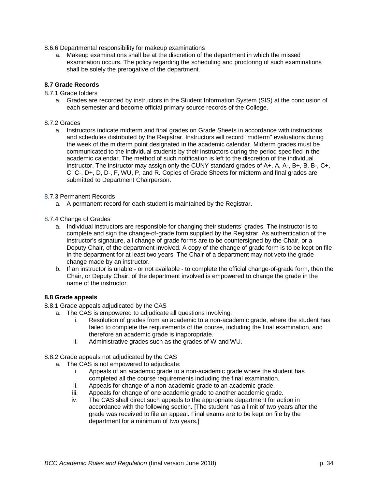- <span id="page-33-0"></span>8.6.6 Departmental responsibility for makeup examinations
	- a. Makeup examinations shall be at the discretion of the department in which the missed examination occurs. The policy regarding the scheduling and proctoring of such examinations shall be solely the prerogative of the department.

# <span id="page-33-1"></span>**8.7 Grade Records**

- <span id="page-33-2"></span>8.7.1 Grade folders
	- a. Grades are recorded by instructors in the Student Information System (SIS) at the conclusion of each semester and become official primary source records of the College.

### <span id="page-33-3"></span>8.7.2 Grades

a. Instructors indicate midterm and final grades on Grade Sheets in accordance with instructions and schedules distributed by the Registrar. Instructors will record "midterm" evaluations during the week of the midterm point designated in the academic calendar. Midterm grades must be communicated to the individual students by their instructors during the period specified in the academic calendar. The method of such notification is left to the discretion of the individual instructor. The instructor may assign only the CUNY standard grades of A+, A, A-, B+, B, B-, C+, C, C-, D+, D, D-, F, WU, P, and R. Copies of Grade Sheets for midterm and final grades are submitted to Department Chairperson.

### <span id="page-33-4"></span>8.7.3 Permanent Records

a. A permanent record for each student is maintained by the Registrar.

# <span id="page-33-5"></span>8.7.4 Change of Grades

- a. Individual instructors are responsible for changing their students' grades. The instructor is to complete and sign the change-of-grade form supplied by the Registrar. As authentication of the instructor's signature, all change of grade forms are to be countersigned by the Chair, or a Deputy Chair, of the department involved. A copy of the change of grade form is to be kept on file in the department for at least two years. The Chair of a department may not veto the grade change made by an instructor.
- b. If an instructor is unable or not available to complete the official change-of-grade form, then the Chair, or Deputy Chair, of the department involved is empowered to change the grade in the name of the instructor.

# **8.8 Grade appeals**

- <span id="page-33-6"></span>8.8.1 Grade appeals adjudicated by the CAS
	- a. The CAS is empowered to adjudicate all questions involving:
		- i. Resolution of grades from an academic to a non-academic grade, where the student has failed to complete the requirements of the course, including the final examination, and therefore an academic grade is inappropriate.
		- ii. Administrative grades such as the grades of W and WU.
- <span id="page-33-7"></span>8.8.2 Grade appeals not adjudicated by the CAS
	- a. The CAS is not empowered to adjudicate:
		- i. Appeals of an academic grade to a non-academic grade where the student has completed all the course requirements including the final examination.
		- ii. Appeals for change of a non-academic grade to an academic grade.
		- iii. Appeals for change of one academic grade to another academic grade.
		- iv. The CAS shall direct such appeals to the appropriate department for action in accordance with the following section. [The student has a limit of two years after the grade was received to file an appeal. Final exams are to be kept on file by the department for a minimum of two years.]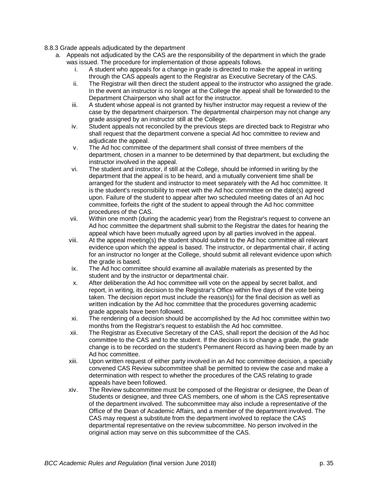- <span id="page-34-0"></span>8.8.3 Grade appeals adjudicated by the department
	- a. Appeals not adjudicated by the CAS are the responsibility of the department in which the grade was issued. The procedure for implementation of those appeals follows.
		- i. A student who appeals for a change in grade is directed to make the appeal in writing through the CAS appeals agent to the Registrar as Executive Secretary of the CAS.
		- ii. The Registrar will then direct the student appeal to the instructor who assigned the grade. In the event an instructor is no longer at the College the appeal shall be forwarded to the Department Chairperson who shall act for the instructor.
		- iii. A student whose appeal is not granted by his/her instructor may request a review of the case by the department chairperson. The departmental chairperson may not change any grade assigned by an instructor still at the College.
		- iv. Student appeals not reconciled by the previous steps are directed back to Registrar who shall request that the department convene a special Ad hoc committee to review and adjudicate the appeal.
		- v. The Ad hoc committee of the department shall consist of three members of the department, chosen in a manner to be determined by that department, but excluding the instructor involved in the appeal.
		- vi. The student and instructor, if still at the College, should be informed in writing by the department that the appeal is to be heard, and a mutually convenient time shall be arranged for the student and instructor to meet separately with the Ad hoc committee. It is the student's responsibility to meet with the Ad hoc committee on the date(s) agreed upon. Failure of the student to appear after two scheduled meeting dates of an Ad hoc committee, forfeits the right of the student to appeal through the Ad hoc committee procedures of the CAS.
		- vii. Within one month (during the academic year) from the Registrar's request to convene an Ad hoc committee the department shall submit to the Registrar the dates for hearing the appeal which have been mutually agreed upon by all parties involved in the appeal.
		- viii. At the appeal meeting(s) the student should submit to the Ad hoc committee all relevant evidence upon which the appeal is based. The instructor, or departmental chair, if acting for an instructor no longer at the College, should submit all relevant evidence upon which the grade is based.
		- ix. The Ad hoc committee should examine all available materials as presented by the student and by the instructor or departmental chair.
		- x. After deliberation the Ad hoc committee will vote on the appeal by secret ballot, and report, in writing, its decision to the Registrar's Office within five days of the vote being taken. The decision report must include the reason(s) for the final decision as well as written indication by the Ad hoc committee that the procedures governing academic grade appeals have been followed.
		- xi. The rendering of a decision should be accomplished by the Ad hoc committee within two months from the Registrar's request to establish the Ad hoc committee.
		- xii. The Registrar as Executive Secretary of the CAS, shall report the decision of the Ad hoc committee to the CAS and to the student. If the decision is to change a grade, the grade change is to be recorded on the student's Permanent Record as having been made by an Ad hoc committee.
		- xiii. Upon written request of either party involved in an Ad hoc committee decision, a specially convened CAS Review subcommittee shall be permitted to review the case and make a determination with respect to whether the procedures of the CAS relating to grade appeals have been followed.
		- xiv. The Review subcommittee must be composed of the Registrar or designee, the Dean of Students or designee, and three CAS members, one of whom is the CAS representative of the department involved. The subcommittee may also include a representative of the Office of the Dean of Academic Affairs, and a member of the department involved. The CAS may request a substitute from the department involved to replace the CAS departmental representative on the review subcommittee. No person involved in the original action may serve on this subcommittee of the CAS.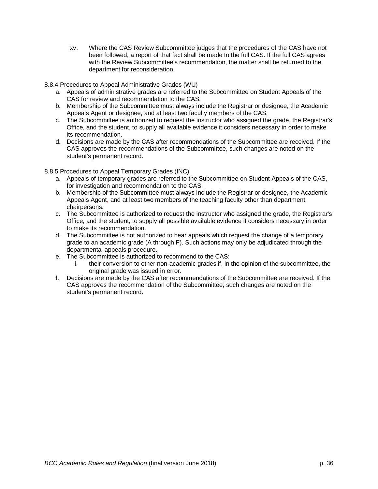xv. Where the CAS Review Subcommittee judges that the procedures of the CAS have not been followed, a report of that fact shall be made to the full CAS. If the full CAS agrees with the Review Subcommittee's recommendation, the matter shall be returned to the department for reconsideration.

<span id="page-35-0"></span>8.8.4 Procedures to Appeal Administrative Grades (WU)

- a. Appeals of administrative grades are referred to the Subcommittee on Student Appeals of the CAS for review and recommendation to the CAS.
- b. Membership of the Subcommittee must always include the Registrar or designee, the Academic Appeals Agent or designee, and at least two faculty members of the CAS.
- c. The Subcommittee is authorized to request the instructor who assigned the grade, the Registrar's Office, and the student, to supply all available evidence it considers necessary in order to make its recommendation.
- d. Decisions are made by the CAS after recommendations of the Subcommittee are received. If the CAS approves the recommendations of the Subcommittee, such changes are noted on the student's permanent record.

<span id="page-35-1"></span>8.8.5 Procedures to Appeal Temporary Grades (INC)

- a. Appeals of temporary grades are referred to the Subcommittee on Student Appeals of the CAS, for investigation and recommendation to the CAS.
- b. Membership of the Subcommittee must always include the Registrar or designee, the Academic Appeals Agent, and at least two members of the teaching faculty other than department chairpersons.
- c. The Subcommittee is authorized to request the instructor who assigned the grade, the Registrar's Office, and the student, to supply all possible available evidence it considers necessary in order to make its recommendation.
- d. The Subcommittee is not authorized to hear appeals which request the change of a temporary grade to an academic grade (A through F). Such actions may only be adjudicated through the departmental appeals procedure.
- e. The Subcommittee is authorized to recommend to the CAS:
	- i. their conversion to other non-academic grades if, in the opinion of the subcommittee, the original grade was issued in error.
- f. Decisions are made by the CAS after recommendations of the Subcommittee are received. If the CAS approves the recommendation of the Subcommittee, such changes are noted on the student's permanent record.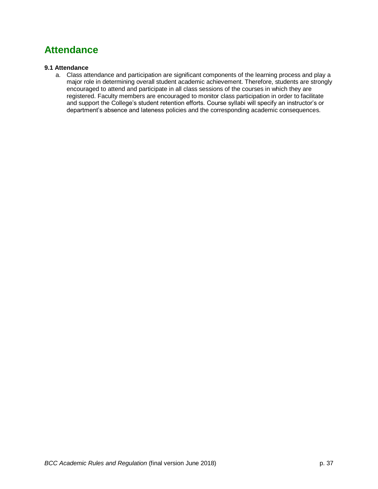# <span id="page-36-0"></span>**Attendance**

# <span id="page-36-1"></span>**9.1 Attendance**

a. Class attendance and participation are significant components of the learning process and play a major role in determining overall student academic achievement. Therefore, students are strongly encouraged to attend and participate in all class sessions of the courses in which they are registered. Faculty members are encouraged to monitor class participation in order to facilitate and support the College's student retention efforts. Course syllabi will specify an instructor's or department's absence and lateness policies and the corresponding academic consequences.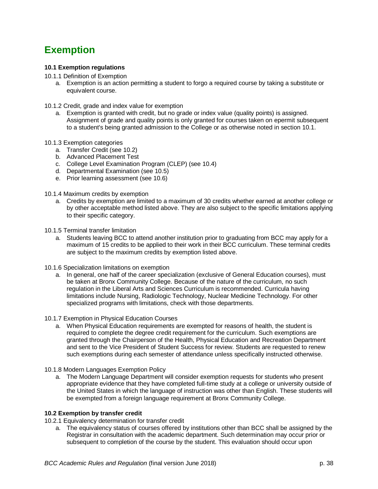# <span id="page-37-0"></span>**Exemption**

# <span id="page-37-1"></span>**10.1 Exemption regulations**

- <span id="page-37-2"></span>10.1.1 Definition of Exemption
	- a. Exemption is an action permitting a student to forgo a required course by taking a substitute or equivalent course.
- <span id="page-37-3"></span>10.1.2 Credit, grade and index value for exemption
	- a. Exemption is granted with credit, but no grade or index value (quality points) is assigned. Assignment of grade and quality points is only granted for courses taken on epermit subsequent to a student's being granted admission to the College or as otherwise noted in section 10.1.
- <span id="page-37-4"></span>10.1.3 Exemption categories
	- a. Transfer Credit (see 10.2)
	- b. Advanced Placement Test
	- c. College Level Examination Program (CLEP) (see 10.4)
	- d. Departmental Examination (see 10.5)
	- e. Prior learning assessment (see 10.6)
- <span id="page-37-5"></span>10.1.4 Maximum credits by exemption
	- a. Credits by exemption are limited to a maximum of 30 credits whether earned at another college or by other acceptable method listed above. They are also subject to the specific limitations applying to their specific category.
- <span id="page-37-6"></span>10.1.5 Terminal transfer limitation
	- a. Students leaving BCC to attend another institution prior to graduating from BCC may apply for a maximum of 15 credits to be applied to their work in their BCC curriculum. These terminal credits are subject to the maximum credits by exemption listed above.
- <span id="page-37-7"></span>10.1.6 Specialization limitations on exemption
	- a. In general, one half of the career specialization (exclusive of General Education courses), must be taken at Bronx Community College. Because of the nature of the curriculum, no such regulation in the Liberal Arts and Sciences Curriculum is recommended. Curricula having limitations include Nursing, Radiologic Technology, Nuclear Medicine Technology. For other specialized programs with limitations, check with those departments.
- <span id="page-37-8"></span>10.1.7 Exemption in Physical Education Courses
	- a. When Physical Education requirements are exempted for reasons of health, the student is required to complete the degree credit requirement for the curriculum. Such exemptions are granted through the Chairperson of the Health, Physical Education and Recreation Department and sent to the Vice President of Student Success for review. Students are requested to renew such exemptions during each semester of attendance unless specifically instructed otherwise.
- <span id="page-37-9"></span>10.1.8 Modern Languages Exemption Policy
	- a. The Modern Language Department will consider exemption requests for students who present appropriate evidence that they have completed full-time study at a college or university outside of the United States in which the language of instruction was other than English. These students will be exempted from a foreign language requirement at Bronx Community College.

### <span id="page-37-10"></span>**10.2 Exemption by transfer credit**

- 10.2.1 Equivalency determination for transfer credit
	- a. The equivalency status of courses offered by institutions other than BCC shall be assigned by the Registrar in consultation with the academic department. Such determination may occur prior or subsequent to completion of the course by the student. This evaluation should occur upon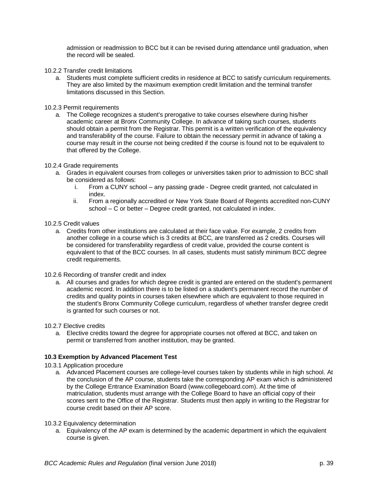admission or readmission to BCC but it can be revised during attendance until graduation, when the record will be sealed.

- <span id="page-38-0"></span>10.2.2 Transfer credit limitations
	- a. Students must complete sufficient credits in residence at BCC to satisfy curriculum requirements. They are also limited by the maximum exemption credit limitation and the terminal transfer limitations discussed in this Section.

# <span id="page-38-1"></span>10.2.3 Permit requirements

a. The College recognizes a student's prerogative to take courses elsewhere during his/her academic career at Bronx Community College. In advance of taking such courses, students should obtain a permit from the Registrar. This permit is a written verification of the equivalency and transferability of the course. Failure to obtain the necessary permit in advance of taking a course may result in the course not being credited if the course is found not to be equivalent to that offered by the College.

# <span id="page-38-2"></span>10.2.4 Grade requirements

- a. Grades in equivalent courses from colleges or universities taken prior to admission to BCC shall be considered as follows:
	- i. From a CUNY school any passing grade Degree credit granted, not calculated in index.
	- ii. From a regionally accredited or New York State Board of Regents accredited non-CUNY school – C or better – Degree credit granted, not calculated in index.
- <span id="page-38-3"></span>10.2.5 Credit values
	- a. Credits from other institutions are calculated at their face value. For example, 2 credits from another college in a course which is 3 credits at BCC, are transferred as 2 credits. Courses will be considered for transferability regardless of credit value, provided the course content is equivalent to that of the BCC courses. In all cases, students must satisfy minimum BCC degree credit requirements.
- <span id="page-38-4"></span>10.2.6 Recording of transfer credit and index
	- a. All courses and grades for which degree credit is granted are entered on the student's permanent academic record. In addition there is to be listed on a student's permanent record the number of credits and quality points in courses taken elsewhere which are equivalent to those required in the student's Bronx Community College curriculum, regardless of whether transfer degree credit is granted for such courses or not.
- <span id="page-38-5"></span>10.2.7 Elective credits
	- a. Elective credits toward the degree for appropriate courses not offered at BCC, and taken on permit or transferred from another institution, may be granted.

# <span id="page-38-6"></span>**10.3 Exemption by Advanced Placement Test**

- <span id="page-38-7"></span>10.3.1 Application procedure
	- a. Advanced Placement courses are college-level courses taken by students while in high school. At the conclusion of the AP course, students take the corresponding AP exam which is administered by the College Entrance Examination Board (www.collegeboard.com). At the time of matriculation, students must arrange with the College Board to have an official copy of their scores sent to the Office of the Registrar. Students must then apply in writing to the Registrar for course credit based on their AP score.

### <span id="page-38-8"></span>10.3.2 Equivalency determination

a. Equivalency of the AP exam is determined by the academic department in which the equivalent course is given.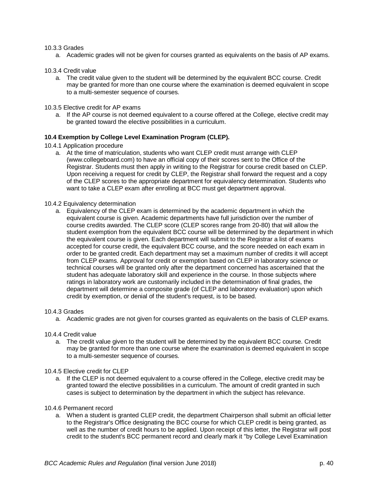### <span id="page-39-0"></span>10.3.3 Grades

a. Academic grades will not be given for courses granted as equivalents on the basis of AP exams.

#### <span id="page-39-1"></span>10.3.4 Credit value

- a. The credit value given to the student will be determined by the equivalent BCC course. Credit may be granted for more than one course where the examination is deemed equivalent in scope to a multi-semester sequence of courses.
- <span id="page-39-2"></span>10.3.5 Elective credit for AP exams
	- a. If the AP course is not deemed equivalent to a course offered at the College, elective credit may be granted toward the elective possibilities in a curriculum.

#### <span id="page-39-3"></span>**10.4 Exemption by College Level Examination Program (CLEP).**

- <span id="page-39-4"></span>10.4.1 Application procedure
	- a. At the time of matriculation, students who want CLEP credit must arrange with CLEP (www.collegeboard.com) to have an official copy of their scores sent to the Office of the Registrar. Students must then apply in writing to the Registrar for course credit based on CLEP. Upon receiving a request for credit by CLEP, the Registrar shall forward the request and a copy of the CLEP scores to the appropriate department for equivalency determination. Students who want to take a CLEP exam after enrolling at BCC must get department approval.

#### <span id="page-39-5"></span>10.4.2 Equivalency determination

a. Equivalency of the CLEP exam is determined by the academic department in which the equivalent course is given. Academic departments have full jurisdiction over the number of course credits awarded. The CLEP score (CLEP scores range from 20-80) that will allow the student exemption from the equivalent BCC course will be determined by the department in which the equivalent course is given. Each department will submit to the Registrar a list of exams accepted for course credit, the equivalent BCC course, and the score needed on each exam in order to be granted credit. Each department may set a maximum number of credits it will accept from CLEP exams. Approval for credit or exemption based on CLEP in laboratory science or technical courses will be granted only after the department concerned has ascertained that the student has adequate laboratory skill and experience in the course. In those subjects where ratings in laboratory work are customarily included in the determination of final grades, the department will determine a composite grade (of CLEP and laboratory evaluation) upon which credit by exemption, or denial of the student's request, is to be based.

#### <span id="page-39-6"></span>10.4.3 Grades

- a. Academic grades are not given for courses granted as equivalents on the basis of CLEP exams.
- <span id="page-39-7"></span>10.4.4 Credit value
	- a. The credit value given to the student will be determined by the equivalent BCC course. Credit may be granted for more than one course where the examination is deemed equivalent in scope to a multi-semester sequence of courses.

#### <span id="page-39-8"></span>10.4.5 Elective credit for CLEP

- a. If the CLEP is not deemed equivalent to a course offered in the College, elective credit may be granted toward the elective possibilities in a curriculum. The amount of credit granted in such cases is subject to determination by the department in which the subject has relevance.
- <span id="page-39-9"></span>10.4.6 Permanent record
	- a. When a student is granted CLEP credit, the department Chairperson shall submit an official letter to the Registrar's Office designating the BCC course for which CLEP credit is being granted, as well as the number of credit hours to be applied. Upon receipt of this letter, the Registrar will post credit to the student's BCC permanent record and clearly mark it "by College Level Examination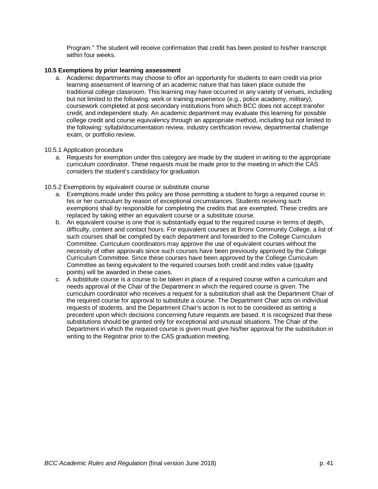Program." The student will receive confirmation that credit has been posted to his/her transcript within four weeks.

# <span id="page-40-0"></span>**10.5 Exemptions by prior learning assessment**

a. Academic departments may choose to offer an opportunity for students to earn credit via prior learning assessment of learning of an academic nature that has taken place outside the traditional college classroom. This learning may have occurred in any variety of venues, including but not limited to the following: work or training experience (e.g., police academy, military), coursework completed at post-secondary institutions from which BCC does not accept transfer credit, and independent study. An academic department may evaluate this learning for possible college credit and course equivalency through an appropriate method, including but not limited to the following: syllabi/documentation review, industry certification review, departmental challenge exam, or portfolio review.

### <span id="page-40-1"></span>10.5.1 Application procedure

a. Requests for exemption under this category are made by the student in writing to the appropriate curriculum coordinator. These requests must be made prior to the meeting in which the CAS considers the student's candidacy for graduation.

# <span id="page-40-2"></span>10.5.2 Exemptions by equivalent course or substitute course

- a. Exemptions made under this policy are those permitting a student to forgo a required course in his or her curriculum by reason of exceptional circumstances. Students receiving such exemptions shall by responsible for completing the credits that are exempted. These credits are replaced by taking either an equivalent course or a substitute course.
- b. An equivalent course is one that is substantially equal to the required course in terms of depth, difficulty, content and contact hours. For equivalent courses at Bronx Community College, a list of such courses shall be compiled by each department and forwarded to the College Curriculum Committee. Curriculum coordinators may approve the use of equivalent courses without the necessity of other approvals since such courses have been previously approved by the College Curriculum Committee. Since these courses have been approved by the College Curriculum Committee as being equivalent to the required courses both credit and index value (quality points) will be awarded in these cases.
- c. A substitute course is a course to be taken in place of a required course within a curriculum and needs approval of the Chair of the Department in which the required course is given. The curriculum coordinator who receives a request for a substitution shall ask the Department Chair of the required course for approval to substitute a course. The Department Chair acts on individual requests of students, and the Department Chair's action is not to be considered as setting a precedent upon which decisions concerning future requests are based. It is recognized that these substitutions should be granted only for exceptional and unusual situations. The Chair of the Department in which the required course is given must give his/her approval for the substitution in writing to the Registrar prior to the CAS graduation meeting.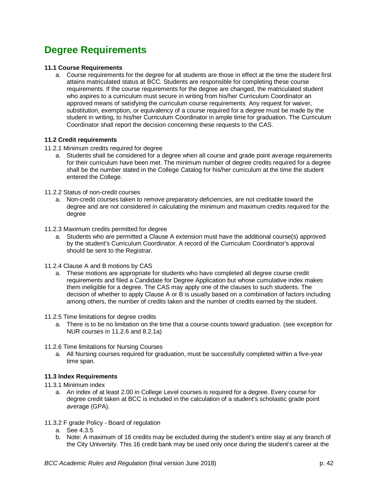# <span id="page-41-0"></span>**Degree Requirements**

# <span id="page-41-1"></span>**11.1 Course Requirements**

a. Course requirements for the degree for all students are those in effect at the time the student first attains matriculated status at BCC. Students are responsible for completing these course requirements. If the course requirements for the degree are changed, the matriculated student who aspires to a curriculum must secure in writing from his/her Curriculum Coordinator an approved means of satisfying the curriculum course requirements. Any request for waiver, substitution, exemption, or equivalency of a course required for a degree must be made by the student in writing, to his/her Curriculum Coordinator in ample time for graduation. The Curriculum Coordinator shall report the decision concerning these requests to the CAS.

# <span id="page-41-2"></span>**11.2 Credit requirements**

- <span id="page-41-3"></span>11.2.1 Minimum credits required for degree
	- a. Students shall be considered for a degree when all course and grade point average requirements for their curriculum have been met. The minimum number of degree credits required for a degree shall be the number stated in the College Catalog for his/her curriculum at the time the student entered the College.
- <span id="page-41-4"></span>11.2.2 Status of non-credit courses
	- a. Non-credit courses taken to remove preparatory deficiencies, are not creditable toward the degree and are not considered in calculating the minimum and maximum credits required for the degree
- <span id="page-41-5"></span>11.2.3 Maximum credits permitted for degree
	- a. Students who are permitted a Clause A extension must have the additional course(s) approved by the student's Curriculum Coordinator. A record of the Curriculum Coordinator's approval should be sent to the Registrar.
- <span id="page-41-6"></span>11.2.4 Clause A and B motions by CAS
	- a. These motions are appropriate for students who have completed all degree course credit requirements and filed a Candidate for Degree Application but whose cumulative index makes them ineligible for a degree. The CAS may apply one of the clauses to such students. The decision of whether to apply Clause A or B is usually based on a combination of factors including among others, the number of credits taken and the number of credits earned by the student.
- <span id="page-41-7"></span>11.2.5 Time limitations for degree credits
	- a. There is to be no limitation on the time that a course counts toward graduation. (see exception for NUR courses in 11.2.6 and 8.2.1a)
- <span id="page-41-8"></span>11.2.6 Time limitations for Nursing Courses
	- a. All Nursing courses required for graduation, must be successfully completed within a five-year time span.

# <span id="page-41-9"></span>**11.3 Index Requirements**

- <span id="page-41-10"></span>11.3.1 Minimum index
	- a. An index of at least 2.00 in College Level courses is required for a degree. Every course for degree credit taken at BCC is included in the calculation of a student's scholastic grade point average (GPA).

### <span id="page-41-11"></span>11.3.2 F grade Policy - Board of regulation

- a. See 4.3.5
- b. Note: A maximum of 16 credits may be excluded during the student's entire stay at any branch of the City University. This 16 credit bank may be used only once during the student's career at the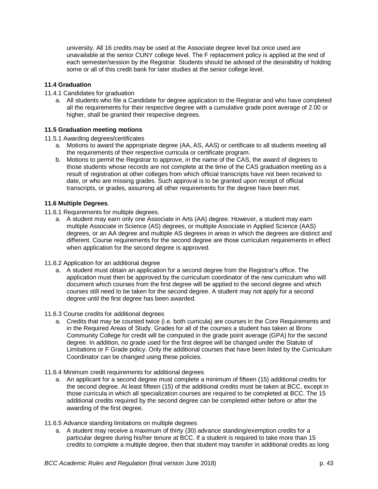university. All 16 credits may be used at the Associate degree level but once used are unavailable at the senior CUNY college level. The F replacement policy is applied at the end of each semester/session by the Registrar. Students should be advised of the desirability of holding some or all of this credit bank for later studies at the senior college level.

# <span id="page-42-0"></span>**11.4 Graduation**

### <span id="page-42-1"></span>11.4.1 Candidates for graduation

a. All students who file a Candidate for degree application to the Registrar and who have completed all the requirements for their respective degree with a cumulative grade point average of 2.00 or higher, shall be granted their respective degrees.

# <span id="page-42-2"></span>**11.5 Graduation meeting motions**

# <span id="page-42-3"></span>11.5.1 Awarding degrees/certificates

- a. Motions to award the appropriate degree (AA, AS, AAS) or certificate to all students meeting all the requirements of their respective curricula or certificate program.
- b. Motions to permit the Registrar to approve, in the name of the CAS, the award of degrees to those students whose records are not complete at the time of the CAS graduation meeting as a result of registration at other colleges from which official transcripts have not been received to date, or who are missing grades. Such approval is to be granted upon receipt of official transcripts, or grades, assuming all other requirements for the degree have been met.

# <span id="page-42-4"></span>**11.6 Multiple Degrees**.

- <span id="page-42-5"></span>11.6.1 Requirements for multiple degrees.
	- a. A student may earn only one Associate in Arts (AA) degree. However, a student may earn multiple Associate in Science (AS) degrees, or multiple Associate in Applied Science (AAS) degrees, or an AA degree and multiple AS degrees in areas in which the degrees are distinct and different. Course requirements for the second degree are those curriculum requirements in effect when application for the second degree is approved.
- <span id="page-42-6"></span>11.6.2 Application for an additional degree
	- a. A student must obtain an application for a second degree from the Registrar's office. The application must then be approved by the curriculum coordinator of the new curriculum who will document which courses from the first degree will be applied to the second degree and which courses still need to be taken for the second degree. A student may not apply for a second degree until the first degree has been awarded.
- <span id="page-42-7"></span>11.6.3 Course credits for additional degrees
	- a. Credits that may be counted twice (i.e. both curricula) are courses in the Core Requirements and in the Required Areas of Study. Grades for all of the courses a student has taken at Bronx Community College for credit will be computed in the grade point average (GPA) for the second degree. In addition, no grade used for the first degree will be changed under the Statute of Limitations or F Grade policy. Only the additional courses that have been listed by the Curriculum Coordinator can be changed using these policies.
- <span id="page-42-8"></span>11.6.4 Minimum credit requirements for additional degrees
	- a. An applicant for a second degree must complete a minimum of fifteen (15) additional credits for the second degree. At least fifteen (15) of the additional credits must be taken at BCC, except in those curricula in which all specialization courses are required to be completed at BCC. The 15 additional credits required by the second degree can be completed either before or after the awarding of the first degree.
- <span id="page-42-9"></span>11.6.5 Advance standing limitations on multiple degrees
	- a. A student may receive a maximum of thirty (30) advance standing/exemption credits for a particular degree during his/her tenure at BCC. If a student is required to take more than 15 credits to complete a multiple degree, then that student may transfer in additional credits as long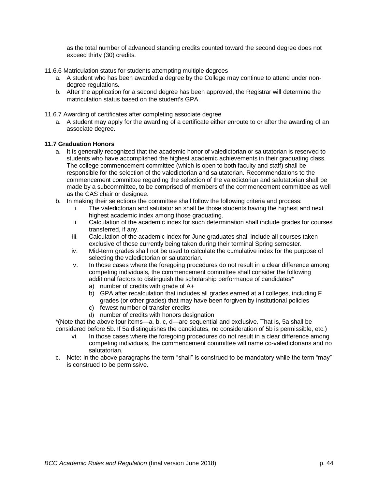as the total number of advanced standing credits counted toward the second degree does not exceed thirty (30) credits.

- <span id="page-43-0"></span>11.6.6 Matriculation status for students attempting multiple degrees
	- a. A student who has been awarded a degree by the College may continue to attend under nondegree regulations.
	- b. After the application for a second degree has been approved, the Registrar will determine the matriculation status based on the student's GPA.
- <span id="page-43-1"></span>11.6.7 Awarding of certificates after completing associate degree
	- a. A student may apply for the awarding of a certificate either enroute to or after the awarding of an associate degree.

# <span id="page-43-2"></span>**11.7 Graduation Honors**

- a. It is generally recognized that the academic honor of valedictorian or salutatorian is reserved to students who have accomplished the highest academic achievements in their graduating class. The college commencement committee (which is open to both faculty and staff) shall be responsible for the selection of the valedictorian and salutatorian. Recommendations to the commencement committee regarding the selection of the valedictorian and salutatorian shall be made by a subcommittee, to be comprised of members of the commencement committee as well as the CAS chair or designee.
- b. In making their selections the committee shall follow the following criteria and process:
	- i. The valedictorian and salutatorian shall be those students having the highest and next highest academic index among those graduating.
	- ii. Calculation of the academic index for such determination shall include grades for courses transferred, if any.
	- iii. Calculation of the academic index for June graduates shall include all courses taken exclusive of those currently being taken during their terminal Spring semester.
	- iv. Mid-term grades shall not be used to calculate the cumulative index for the purpose of selecting the valedictorian or salutatorian.
	- v. In those cases where the foregoing procedures do not result in a clear difference among competing individuals, the commencement committee shall consider the following additional factors to distinguish the scholarship performance of candidates\*
		- a) number of credits with grade of A+
		- b) GPA after recalculation that includes all grades earned at all colleges, including F grades (or other grades) that may have been forgiven by institutional policies
		- c) fewest number of transfer credits
		- d) number of credits with honors designation

\*(Note that the above four items—a, b, c, d—are sequential and exclusive. That is, 5a shall be considered before 5b. If 5a distinguishes the candidates, no consideration of 5b is permissible, etc.)

- vi. In those cases where the foregoing procedures do not result in a clear difference among competing individuals, the commencement committee will name co-valedictorians and no salutatorian.
- c. Note: In the above paragraphs the term "shall" is construed to be mandatory while the term "may" is construed to be permissive.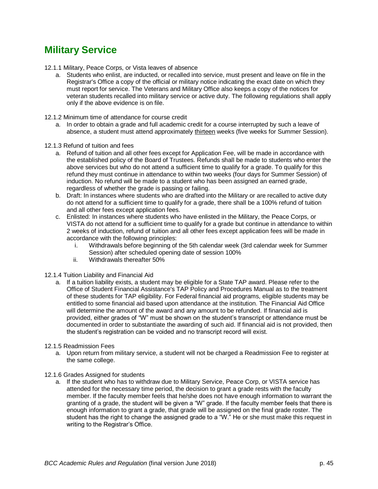# <span id="page-44-0"></span>**Military Service**

- <span id="page-44-1"></span>12.1.1 Military, Peace Corps, or Vista leaves of absence
	- a. Students who enlist, are inducted, or recalled into service, must present and leave on file in the Registrar's Office a copy of the official or military notice indicating the exact date on which they must report for service. The Veterans and Military Office also keeps a copy of the notices for veteran students recalled into military service or active duty. The following regulations shall apply only if the above evidence is on file.
- <span id="page-44-2"></span>12.1.2 Minimum time of attendance for course credit
	- a. In order to obtain a grade and full academic credit for a course interrupted by such a leave of absence, a student must attend approximately thirteen weeks (five weeks for Summer Session).
- <span id="page-44-3"></span>12.1.3 Refund of tuition and fees
	- a. Refund of tuition and all other fees except for Application Fee, will be made in accordance with the established policy of the Board of Trustees. Refunds shall be made to students who enter the above services but who do not attend a sufficient time to qualify for a grade. To qualify for this refund they must continue in attendance to within two weeks (four days for Summer Session) of induction. No refund will be made to a student who has been assigned an earned grade, regardless of whether the grade is passing or failing.
	- b. Draft: In instances where students who are drafted into the Military or are recalled to active duty do not attend for a sufficient time to qualify for a grade, there shall be a 100% refund of tuition and all other fees except application fees.
	- c. Enlisted: In instances where students who have enlisted in the Military, the Peace Corps, or VISTA do not attend for a sufficient time to qualify for a grade but continue in attendance to within 2 weeks of induction, refund of tuition and all other fees except application fees will be made in accordance with the following principles:
		- i. Withdrawals before beginning of the 5th calendar week (3rd calendar week for Summer Session) after scheduled opening date of session 100%
		- ii. Withdrawals thereafter 50%
- <span id="page-44-4"></span>12.1.4 Tuition Liability and Financial Aid
	- a. If a tuition liability exists, a student may be eligible for a State TAP award. Please refer to the Office of Student Financial Assistance's TAP Policy and Procedures Manual as to the treatment of these students for TAP eligibility. For Federal financial aid programs, eligible students may be entitled to some financial aid based upon attendance at the institution. The Financial Aid Office will determine the amount of the award and any amount to be refunded. If financial aid is provided, either grades of "W" must be shown on the student's transcript or attendance must be documented in order to substantiate the awarding of such aid. If financial aid is not provided, then the student's registration can be voided and no transcript record will exist.
- <span id="page-44-5"></span>12.1.5 Readmission Fees
	- a. Upon return from military service, a student will not be charged a Readmission Fee to register at the same college.
- 12.1.6 Grades Assigned for students
	- a. If the student who has to withdraw due to Military Service, Peace Corp, or VISTA service has attended for the necessary time period, the decision to grant a grade rests with the faculty member. If the faculty member feels that he/she does not have enough information to warrant the granting of a grade, the student will be given a "W" grade. If the faculty member feels that there is enough information to grant a grade, that grade will be assigned on the final grade roster. The student has the right to change the assigned grade to a "W." He or she must make this request in writing to the Registrar's Office.